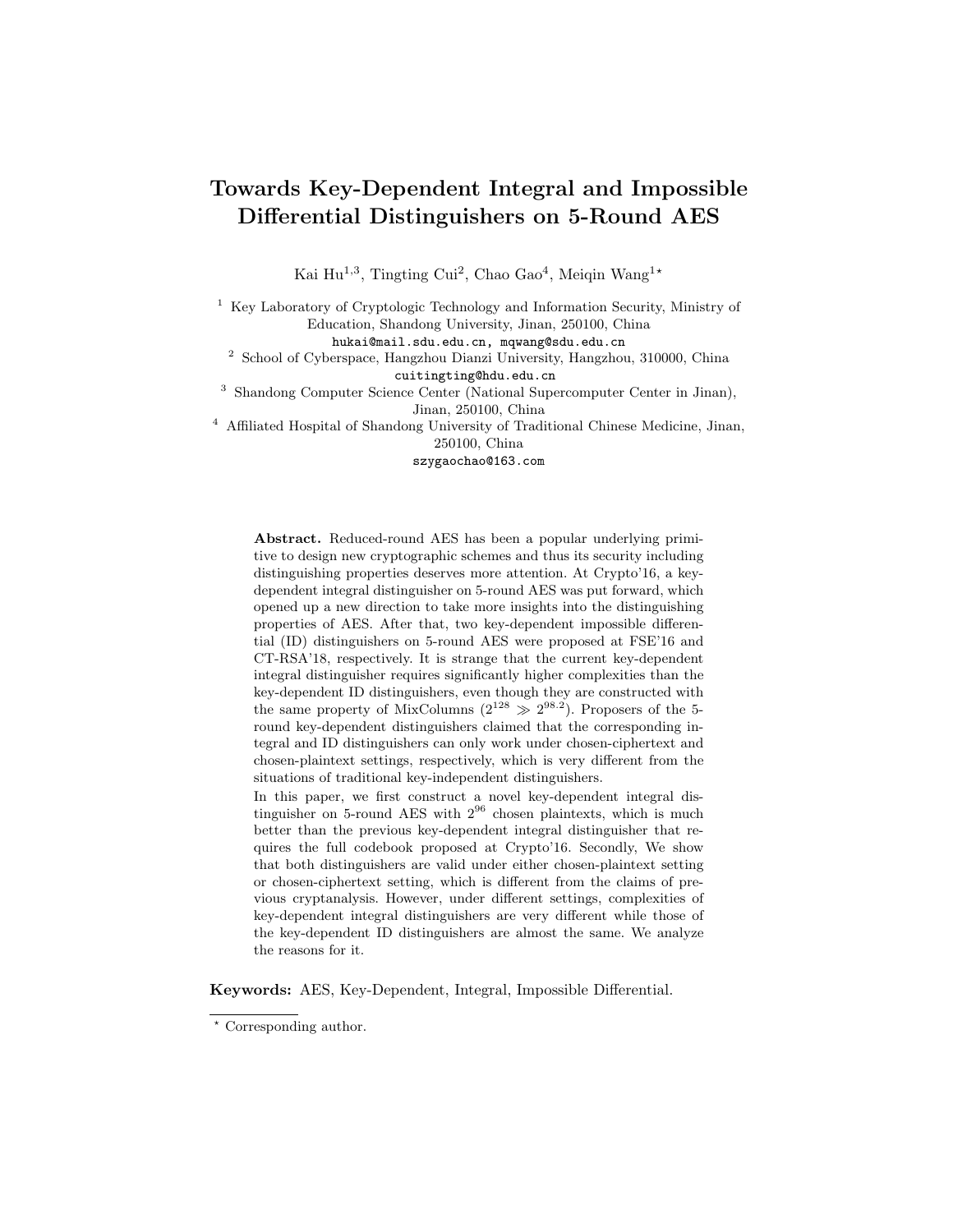# Towards Key-Dependent Integral and Impossible Differential Distinguishers on 5-Round AES

Kai Hu<sup>1,3</sup>, Tingting Cui<sup>2</sup>, Chao Gao<sup>4</sup>, Meiqin Wang<sup>1\*</sup>

<sup>1</sup> Key Laboratory of Cryptologic Technology and Information Security, Ministry of Education, Shandong University, Jinan, 250100, China

hukai@mail.sdu.edu.cn, mqwang@sdu.edu.cn

<sup>2</sup> School of Cyberspace, Hangzhou Dianzi University, Hangzhou, 310000, China cuitingting@hdu.edu.cn

<sup>3</sup> Shandong Computer Science Center (National Supercomputer Center in Jinan), Jinan, 250100, China

<sup>4</sup> Affiliated Hospital of Shandong University of Traditional Chinese Medicine, Jinan, 250100, China

szygaochao@163.com

Abstract. Reduced-round AES has been a popular underlying primitive to design new cryptographic schemes and thus its security including distinguishing properties deserves more attention. At Crypto'16, a keydependent integral distinguisher on 5-round AES was put forward, which opened up a new direction to take more insights into the distinguishing properties of AES. After that, two key-dependent impossible differential (ID) distinguishers on 5-round AES were proposed at FSE'16 and CT-RSA'18, respectively. It is strange that the current key-dependent integral distinguisher requires significantly higher complexities than the key-dependent ID distinguishers, even though they are constructed with the same property of MixColumns  $(2^{128} \gg 2^{98.2})$ . Proposers of the 5round key-dependent distinguishers claimed that the corresponding integral and ID distinguishers can only work under chosen-ciphertext and chosen-plaintext settings, respectively, which is very different from the situations of traditional key-independent distinguishers.

In this paper, we first construct a novel key-dependent integral distinguisher on 5-round AES with  $2^{96}$  chosen plaintexts, which is much better than the previous key-dependent integral distinguisher that requires the full codebook proposed at Crypto'16. Secondly, We show that both distinguishers are valid under either chosen-plaintext setting or chosen-ciphertext setting, which is different from the claims of previous cryptanalysis. However, under different settings, complexities of key-dependent integral distinguishers are very different while those of the key-dependent ID distinguishers are almost the same. We analyze the reasons for it.

Keywords: AES, Key-Dependent, Integral, Impossible Differential.

<sup>?</sup> Corresponding author.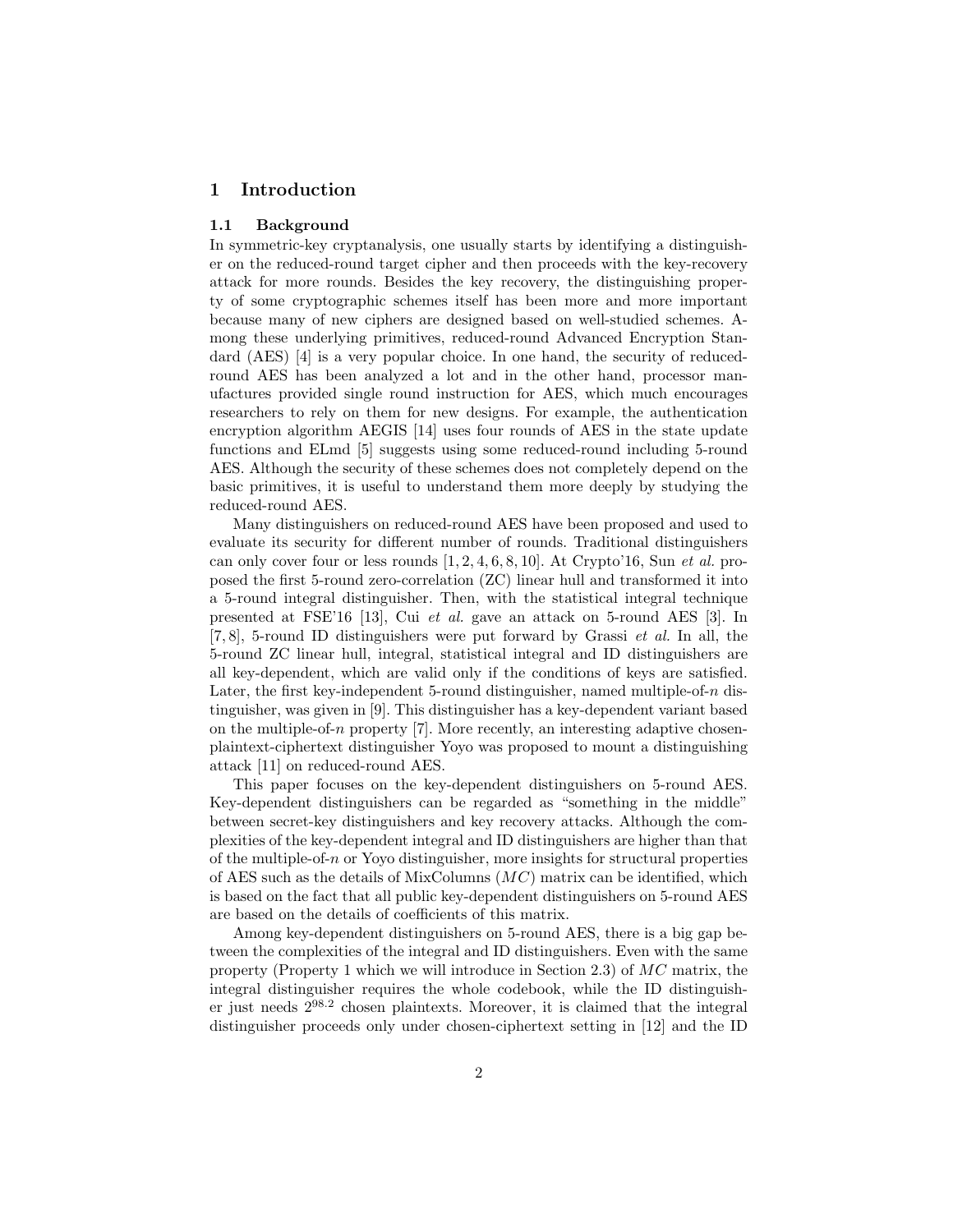## 1 Introduction

#### 1.1 Background

In symmetric-key cryptanalysis, one usually starts by identifying a distinguisher on the reduced-round target cipher and then proceeds with the key-recovery attack for more rounds. Besides the key recovery, the distinguishing property of some cryptographic schemes itself has been more and more important because many of new ciphers are designed based on well-studied schemes. Among these underlying primitives, reduced-round Advanced Encryption Standard (AES) [4] is a very popular choice. In one hand, the security of reducedround AES has been analyzed a lot and in the other hand, processor manufactures provided single round instruction for AES, which much encourages researchers to rely on them for new designs. For example, the authentication encryption algorithm AEGIS [14] uses four rounds of AES in the state update functions and ELmd [5] suggests using some reduced-round including 5-round AES. Although the security of these schemes does not completely depend on the basic primitives, it is useful to understand them more deeply by studying the reduced-round AES.

Many distinguishers on reduced-round AES have been proposed and used to evaluate its security for different number of rounds. Traditional distinguishers can only cover four or less rounds  $[1, 2, 4, 6, 8, 10]$ . At Crypto'16, Sun *et al.* proposed the first 5-round zero-correlation (ZC) linear hull and transformed it into a 5-round integral distinguisher. Then, with the statistical integral technique presented at FSE'16 [13], Cui et al. gave an attack on 5-round AES [3]. In  $[7, 8]$ , 5-round ID distinguishers were put forward by Grassi *et al.* In all, the 5-round ZC linear hull, integral, statistical integral and ID distinguishers are all key-dependent, which are valid only if the conditions of keys are satisfied. Later, the first key-independent 5-round distinguisher, named multiple-of- $n$  distinguisher, was given in [9]. This distinguisher has a key-dependent variant based on the multiple-of-n property [7]. More recently, an interesting adaptive chosenplaintext-ciphertext distinguisher Yoyo was proposed to mount a distinguishing attack [11] on reduced-round AES.

This paper focuses on the key-dependent distinguishers on 5-round AES. Key-dependent distinguishers can be regarded as "something in the middle" between secret-key distinguishers and key recovery attacks. Although the complexities of the key-dependent integral and ID distinguishers are higher than that of the multiple-of-n or Yoyo distinguisher, more insights for structural properties of AES such as the details of MixColumns  $(MC)$  matrix can be identified, which is based on the fact that all public key-dependent distinguishers on 5-round AES are based on the details of coefficients of this matrix.

Among key-dependent distinguishers on 5-round AES, there is a big gap between the complexities of the integral and ID distinguishers. Even with the same property (Property 1 which we will introduce in Section 2.3) of  $MC$  matrix, the integral distinguisher requires the whole codebook, while the ID distinguisher just needs 2<sup>98</sup>.<sup>2</sup> chosen plaintexts. Moreover, it is claimed that the integral distinguisher proceeds only under chosen-ciphertext setting in [12] and the ID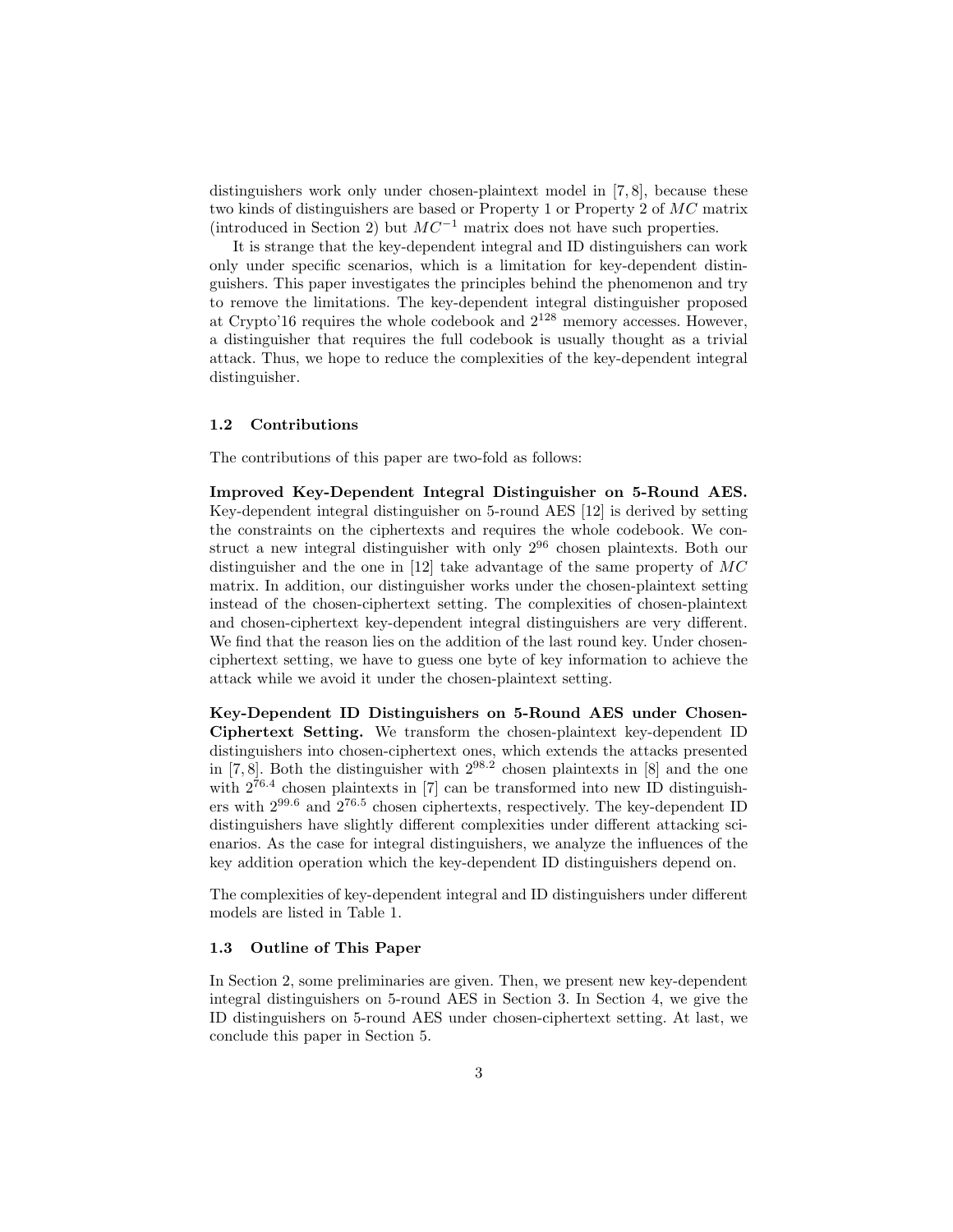distinguishers work only under chosen-plaintext model in [7, 8], because these two kinds of distinguishers are based or Property 1 or Property 2 of MC matrix (introduced in Section 2) but  $MC^{-1}$  matrix does not have such properties.

It is strange that the key-dependent integral and ID distinguishers can work only under specific scenarios, which is a limitation for key-dependent distinguishers. This paper investigates the principles behind the phenomenon and try to remove the limitations. The key-dependent integral distinguisher proposed at Crypto'16 requires the whole codebook and  $2^{128}$  memory accesses. However, a distinguisher that requires the full codebook is usually thought as a trivial attack. Thus, we hope to reduce the complexities of the key-dependent integral distinguisher.

### 1.2 Contributions

The contributions of this paper are two-fold as follows:

Improved Key-Dependent Integral Distinguisher on 5-Round AES. Key-dependent integral distinguisher on 5-round AES [12] is derived by setting the constraints on the ciphertexts and requires the whole codebook. We construct a new integral distinguisher with only  $2^{96}$  chosen plaintexts. Both our distinguisher and the one in [12] take advantage of the same property of MC matrix. In addition, our distinguisher works under the chosen-plaintext setting instead of the chosen-ciphertext setting. The complexities of chosen-plaintext and chosen-ciphertext key-dependent integral distinguishers are very different. We find that the reason lies on the addition of the last round key. Under chosenciphertext setting, we have to guess one byte of key information to achieve the attack while we avoid it under the chosen-plaintext setting.

Key-Dependent ID Distinguishers on 5-Round AES under Chosen-Ciphertext Setting. We transform the chosen-plaintext key-dependent ID distinguishers into chosen-ciphertext ones, which extends the attacks presented in  $[7, 8]$ . Both the distinguisher with  $2^{98.2}$  chosen plaintexts in  $[8]$  and the one with  $2^{76.4}$  chosen plaintexts in [7] can be transformed into new ID distinguishers with 299.<sup>6</sup> and 276.<sup>5</sup> chosen ciphertexts, respectively. The key-dependent ID distinguishers have slightly different complexities under different attacking scienarios. As the case for integral distinguishers, we analyze the influences of the key addition operation which the key-dependent ID distinguishers depend on.

The complexities of key-dependent integral and ID distinguishers under different models are listed in Table 1.

### 1.3 Outline of This Paper

In Section 2, some preliminaries are given. Then, we present new key-dependent integral distinguishers on 5-round AES in Section 3. In Section 4, we give the ID distinguishers on 5-round AES under chosen-ciphertext setting. At last, we conclude this paper in Section 5.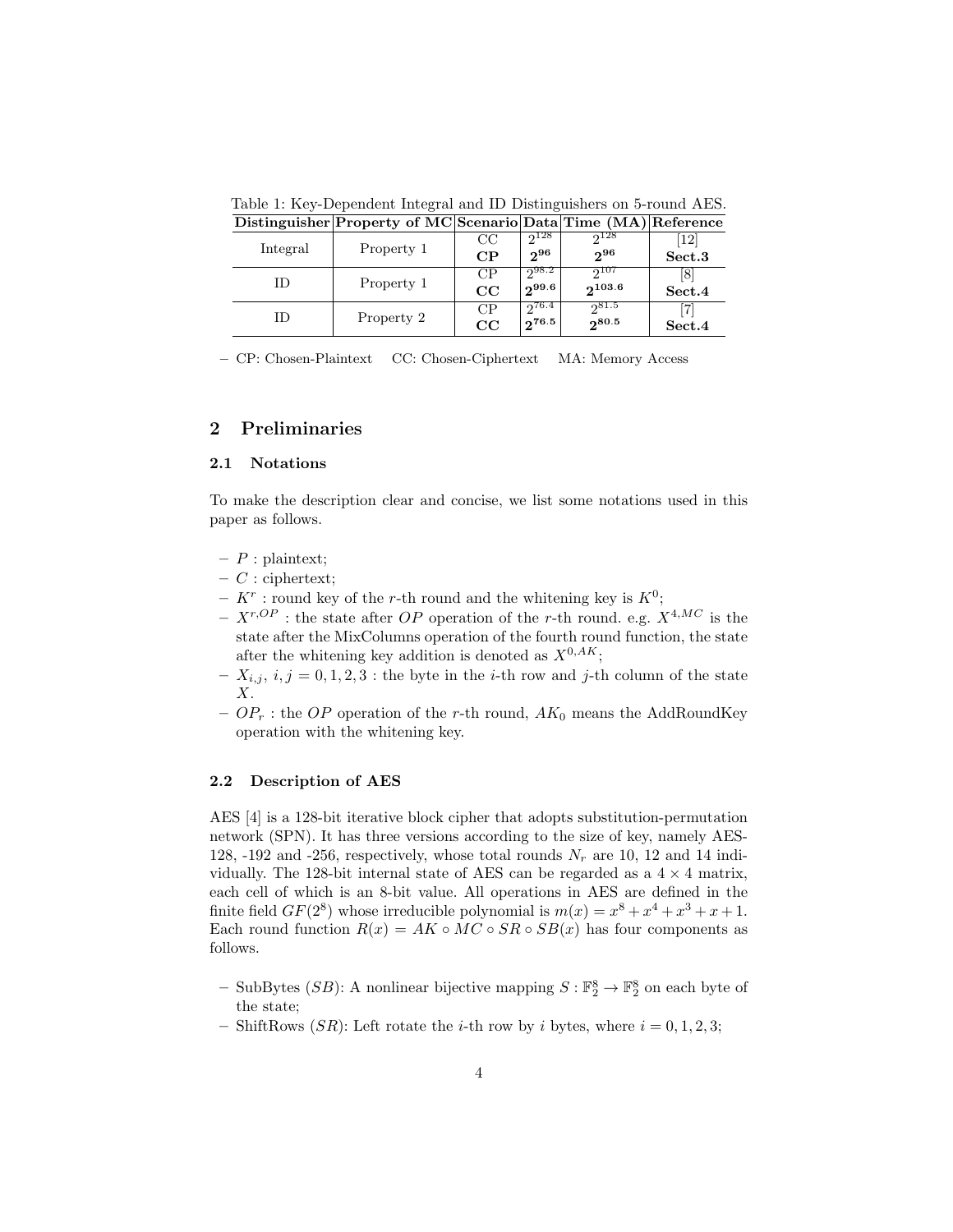|  |          | Distinguisher Froperty of MC Scenario Data Time (MA) Reference |             |                   |             |        |
|--|----------|----------------------------------------------------------------|-------------|-------------------|-------------|--------|
|  | Integral | Property 1                                                     | CC          | $2^{128}$         | $2^{128}$   | 12     |
|  |          |                                                                | CP          | $2^{96}$          | $2^{96}$    | Sect.3 |
|  | ΙD       | Property 1                                                     | CP          | $2^{98.2}$        | $2^{107}$   | 181    |
|  |          |                                                                | $_{\rm CC}$ | $2^{99.6}$        | $2^{103.6}$ | Sect.4 |
|  | ΙD       | Property 2                                                     | CP          | $\sqrt{2^{76.4}}$ | 2031.5      |        |
|  |          |                                                                | CC          | $2^{76.5}$        | $2^{80.5}$  | Sect.4 |

Table 1: Key-Dependent Integral and ID Distinguishers on 5-round AES. Distinguisher Property of MC Scenario Data Time (MA) Reference

– CP: Chosen-Plaintext CC: Chosen-Ciphertext MA: Memory Access

# 2 Preliminaries

### 2.1 Notations

To make the description clear and concise, we list some notations used in this paper as follows.

- $P$  : plaintext;
- $-$  C : ciphertext;
- $K^r$ : round key of the r-th round and the whitening key is  $K^0$ ;
- $X^{r,OP}$ : the state after OP operation of the r-th round. e.g.  $X^{4,MC}$  is the state after the MixColumns operation of the fourth round function, the state after the whitening key addition is denoted as  $X^{0,AK}$ ;
- $-X_{i,j}, i,j = 0,1,2,3$ : the byte in the *i*-th row and *j*-th column of the state  $X$ .
- $OP_r$ : the OP operation of the r-th round,  $AK_0$  means the AddRoundKey operation with the whitening key.

#### 2.2 Description of AES

AES [4] is a 128-bit iterative block cipher that adopts substitution-permutation network (SPN). It has three versions according to the size of key, namely AES-128, -192 and -256, respectively, whose total rounds  $N_r$  are 10, 12 and 14 individually. The 128-bit internal state of AES can be regarded as a  $4 \times 4$  matrix, each cell of which is an 8-bit value. All operations in AES are defined in the finite field  $GF(2^8)$  whose irreducible polynomial is  $m(x) = x^8 + x^4 + x^3 + x + 1$ . Each round function  $R(x) = AK \circ MC \circ SR \circ SB(x)$  has four components as follows.

- SubBytes (SB): A nonlinear bijective mapping  $S : \mathbb{F}_2^8 \to \mathbb{F}_2^8$  on each byte of the state;
- ShiftRows  $(SR)$ : Left rotate the *i*-th row by *i* bytes, where  $i = 0, 1, 2, 3$ ;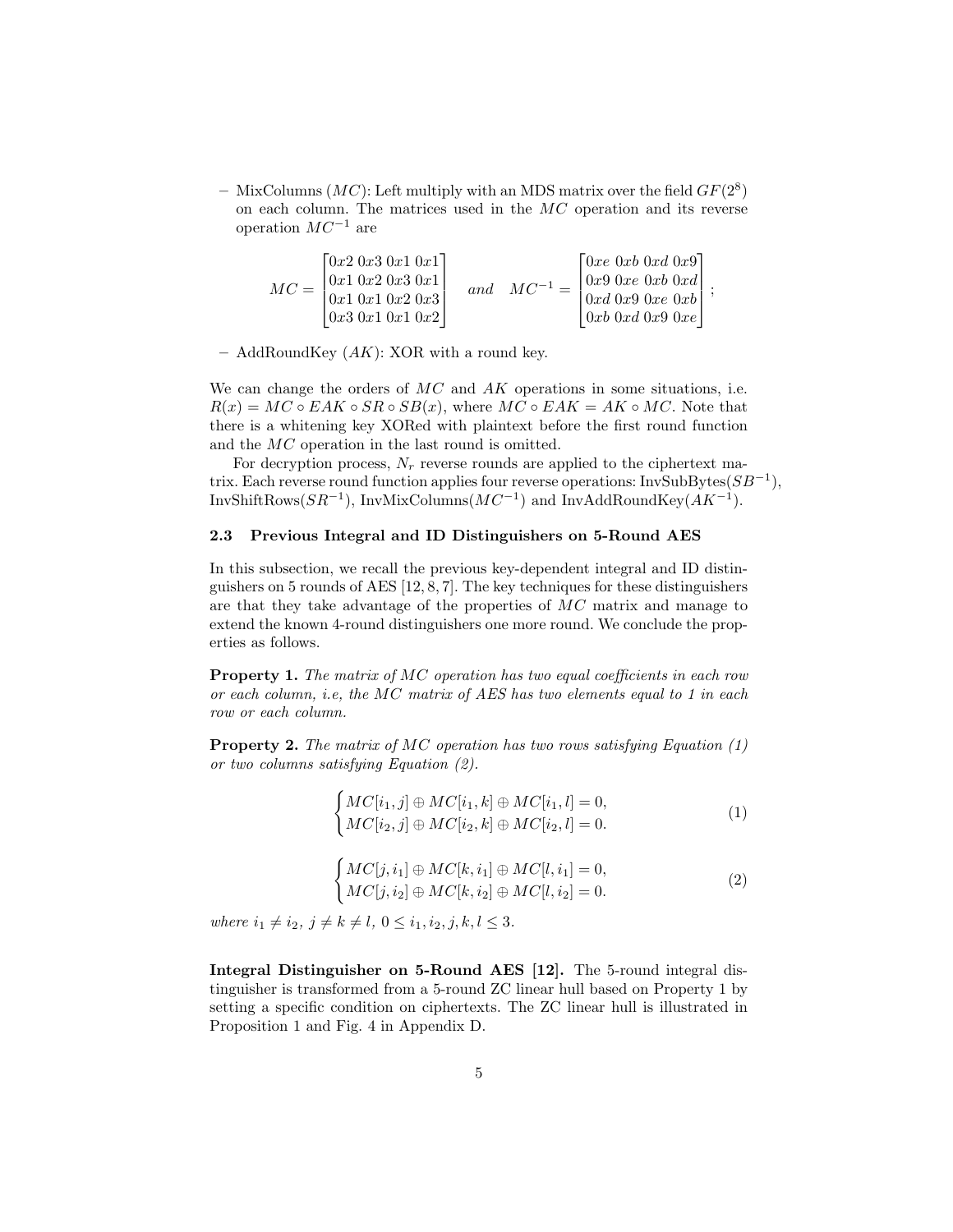- MixColumns ( $MC$ ): Left multiply with an MDS matrix over the field  $GF(2^8)$ on each column. The matrices used in the  $MC$  operation and its reverse operation  $MC^{-1}$  are

| $MC = \square$ | $\lceil 0x^2\ 0x^3\ 0x^1\ 0x^1 \rceil$<br>$\vert 0x1 \; 0x2 \; 0x3 \; 0x1 \vert$<br>0x10x10x20x3<br>$\lfloor 0x3 \ 0x1 \ 0x1 \ 0x2 \rfloor$ | and | $MC^{-1}$ | $\lceil 0xe\ 0xb\ 0xd\ 0x9 \rceil$<br>$\lfloor 0x9 \ 0xe \ 0xb \ 0xd \rfloor$<br>$\lceil 0xd \ 0x9 \ 0xe \ 0xb \rceil$<br>$\vert 0xb \vert 0xd \vert 0x9 \vert 0xe \vert$ |  |
|----------------|---------------------------------------------------------------------------------------------------------------------------------------------|-----|-----------|---------------------------------------------------------------------------------------------------------------------------------------------------------------------------|--|
|----------------|---------------------------------------------------------------------------------------------------------------------------------------------|-----|-----------|---------------------------------------------------------------------------------------------------------------------------------------------------------------------------|--|

– AddRoundKey  $(AK)$ : XOR with a round key.

We can change the orders of  $MC$  and  $AK$  operations in some situations, i.e.  $R(x) = MC \circ EAK \circ SR \circ SB(x)$ , where  $MC \circ EAK = AK \circ MC$ . Note that there is a whitening key XORed with plaintext before the first round function and the MC operation in the last round is omitted.

For decryption process,  $N_r$  reverse rounds are applied to the ciphertext matrix. Each reverse round function applies four reverse operations: InvSubBytes( $SB^{-1}$ ), InvShiftRows( $SR^{-1}$ ), InvMixColumns( $MC^{-1}$ ) and InvAddRoundKey( $AK^{-1}$ ).

### 2.3 Previous Integral and ID Distinguishers on 5-Round AES

In this subsection, we recall the previous key-dependent integral and ID distinguishers on 5 rounds of AES [12, 8, 7]. The key techniques for these distinguishers are that they take advantage of the properties of MC matrix and manage to extend the known 4-round distinguishers one more round. We conclude the properties as follows.

Property 1. The matrix of MC operation has two equal coefficients in each row or each column, i.e, the MC matrix of AES has two elements equal to 1 in each row or each column.

**Property 2.** The matrix of MC operation has two rows satisfying Equation  $(1)$ or two columns satisfying Equation (2).

$$
\begin{cases}\nMC[i_1, j] \oplus MC[i_1, k] \oplus MC[i_1, l] = 0, \\
MC[i_2, j] \oplus MC[i_2, k] \oplus MC[i_2, l] = 0.\n\end{cases} \tag{1}
$$

$$
\begin{cases}\nMC[j, i_1] \oplus MC[k, i_1] \oplus MC[l, i_1] = 0, \\
MC[j, i_2] \oplus MC[k, i_2] \oplus MC[l, i_2] = 0.\n\end{cases}
$$
\n(2)

where  $i_1 \neq i_2, j \neq k \neq l, 0 \leq i_1, i_2, j, k, l \leq 3.$ 

Integral Distinguisher on 5-Round AES [12]. The 5-round integral distinguisher is transformed from a 5-round ZC linear hull based on Property 1 by setting a specific condition on ciphertexts. The ZC linear hull is illustrated in Proposition 1 and Fig. 4 in Appendix D.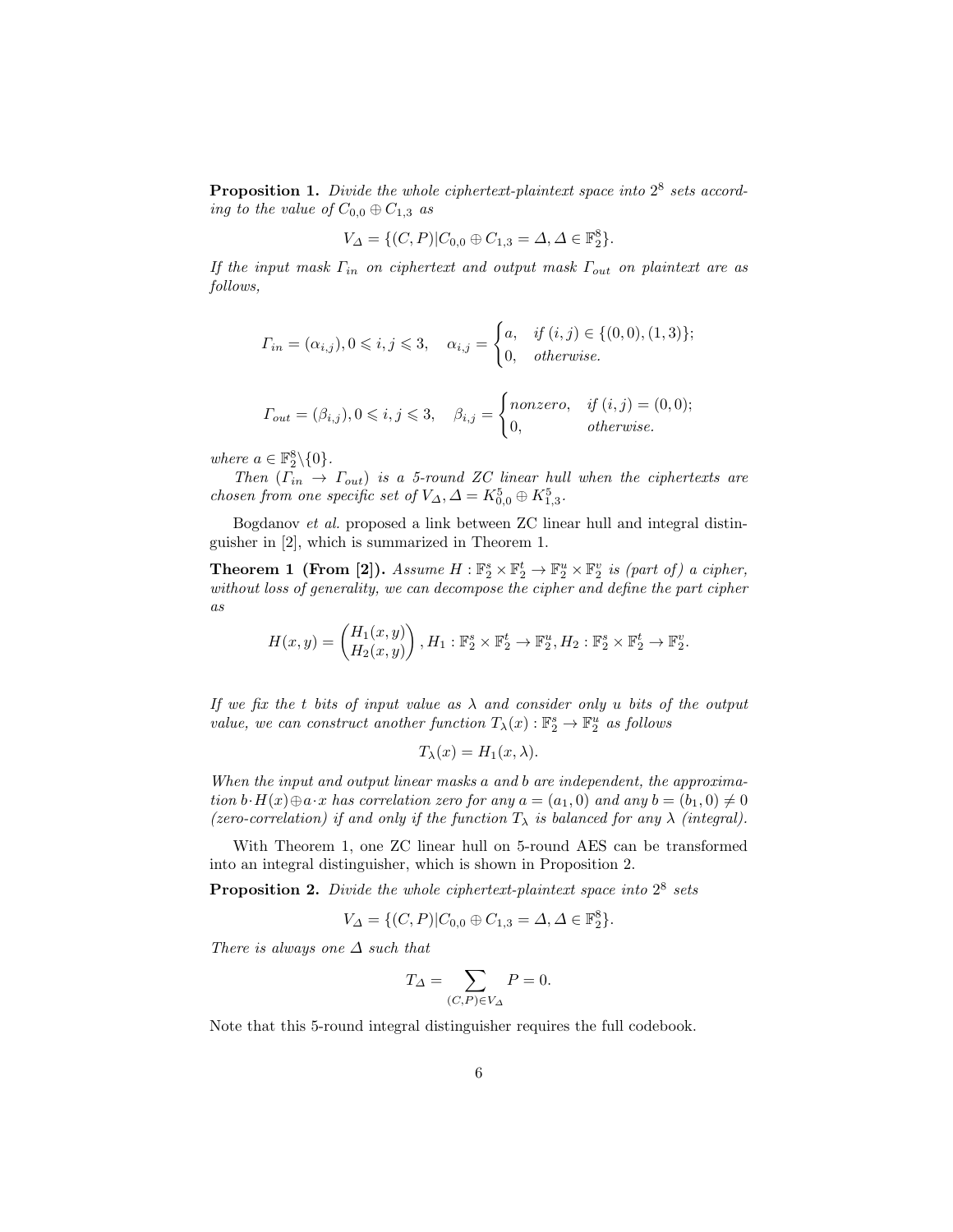**Proposition 1.** Divide the whole ciphertext-plaintext space into  $2^8$  sets according to the value of  $C_{0,0} \oplus C_{1,3}$  as

$$
V_{\Delta} = \{ (C, P) | C_{0,0} \oplus C_{1,3} = \Delta, \Delta \in \mathbb{F}_2^8 \}.
$$

If the input mask  $\Gamma_{in}$  on ciphertext and output mask  $\Gamma_{out}$  on plaintext are as follows,

$$
\Gamma_{in} = (\alpha_{i,j}), 0 \leqslant i, j \leqslant 3, \quad \alpha_{i,j} = \begin{cases} a, & if (i,j) \in \{ (0,0), (1,3) \}; \\ 0, & otherwise. \end{cases}
$$

$$
\Gamma_{out} = (\beta_{i,j}), 0 \leqslant i, j \leqslant 3, \quad \beta_{i,j} = \begin{cases} \nnonzero, & \text{if } (i,j) = (0,0); \\ \n0, & \text{otherwise.} \n\end{cases}
$$

where  $a \in \mathbb{F}_2^8 \backslash \{0\}$ .

Then  $(\tilde{\Gamma}_{in} \rightarrow \Gamma_{out})$  is a 5-round ZC linear hull when the ciphertexts are chosen from one specific set of  $V_{\Delta}$ ,  $\Delta = K_{0,0}^5 \oplus K_{1,3}^5$ .

Bogdanov et al. proposed a link between ZC linear hull and integral distinguisher in [2], which is summarized in Theorem 1.

**Theorem 1 (From [2]).** Assume  $H : \mathbb{F}_2^s \times \mathbb{F}_2^t \to \mathbb{F}_2^u \times \mathbb{F}_2^v$  is (part of) a cipher, without loss of generality, we can decompose the cipher and define the part cipher as

$$
H(x,y) = \begin{pmatrix} H_1(x,y) \\ H_2(x,y) \end{pmatrix}, H_1: \mathbb{F}_2^s \times \mathbb{F}_2^t \to \mathbb{F}_2^u, H_2: \mathbb{F}_2^s \times \mathbb{F}_2^t \to \mathbb{F}_2^v.
$$

If we fix the t bits of input value as  $\lambda$  and consider only u bits of the output value, we can construct another function  $T_{\lambda}(x): \mathbb{F}_2^s \to \mathbb{F}_2^u$  as follows

$$
T_{\lambda}(x) = H_1(x,\lambda).
$$

When the input and output linear masks a and b are independent, the approximation  $b \cdot H(x) \oplus a \cdot x$  has correlation zero for any  $a = (a_1, 0)$  and any  $b = (b_1, 0) \neq 0$ (zero-correlation) if and only if the function  $T_{\lambda}$  is balanced for any  $\lambda$  (integral).

With Theorem 1, one ZC linear hull on 5-round AES can be transformed into an integral distinguisher, which is shown in Proposition 2.

**Proposition 2.** Divide the whole ciphertext-plaintext space into  $2^8$  sets

$$
V_{\Delta} = \{ (C, P) | C_{0,0} \oplus C_{1,3} = \Delta, \Delta \in \mathbb{F}_2^8 \}.
$$

There is always one  $\Delta$  such that

$$
T_{\Delta} = \sum_{(C,P)\in V_{\Delta}} P = 0.
$$

Note that this 5-round integral distinguisher requires the full codebook.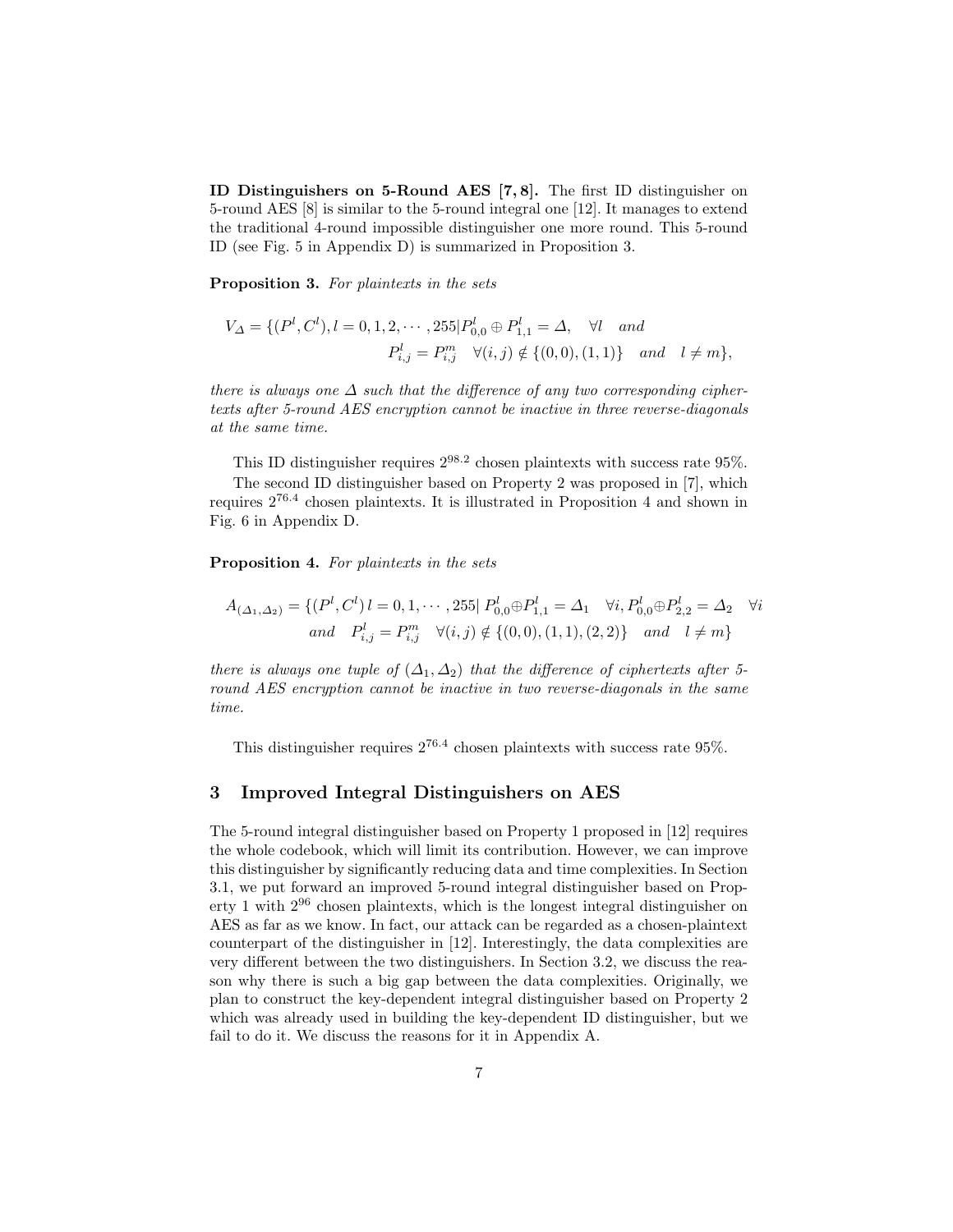ID Distinguishers on 5-Round AES [7, 8]. The first ID distinguisher on 5-round AES [8] is similar to the 5-round integral one [12]. It manages to extend the traditional 4-round impossible distinguisher one more round. This 5-round ID (see Fig. 5 in Appendix D) is summarized in Proposition 3.

Proposition 3. For plaintexts in the sets

$$
V_{\Delta} = \{ (P^l, C^l), l = 0, 1, 2, \cdots, 255 | P^l_{0,0} \oplus P^l_{1,1} = \Delta, \quad \forall l \quad and
$$
  

$$
P^l_{i,j} = P^m_{i,j} \quad \forall (i,j) \notin \{ (0,0), (1,1) \} \quad and \quad l \neq m \},
$$

there is always one  $\Delta$  such that the difference of any two corresponding ciphertexts after 5-round AES encryption cannot be inactive in three reverse-diagonals at the same time.

This ID distinguisher requires  $2^{98.2}$  chosen plaintexts with success rate 95%. The second ID distinguisher based on Property 2 was proposed in [7], which requires 276.<sup>4</sup> chosen plaintexts. It is illustrated in Proposition 4 and shown in Fig. 6 in Appendix D.

Proposition 4. For plaintexts in the sets

$$
A_{(\Delta_1, \Delta_2)} = \{ (P^l, C^l) \ l = 0, 1, \cdots, 255 \ | \ P^l_{0,0} \oplus P^l_{1,1} = \Delta_1 \quad \forall i, P^l_{0,0} \oplus P^l_{2,2} = \Delta_2 \quad \forall i
$$
  
and 
$$
P^l_{i,j} = P^m_{i,j} \quad \forall (i,j) \notin \{ (0,0), (1,1), (2,2) \} \quad and \quad l \neq m \}
$$

there is always one tuple of  $(\Delta_1, \Delta_2)$  that the difference of ciphertexts after 5round AES encryption cannot be inactive in two reverse-diagonals in the same time.

This distinguisher requires  $2^{76.4}$  chosen plaintexts with success rate 95%.

# 3 Improved Integral Distinguishers on AES

The 5-round integral distinguisher based on Property 1 proposed in [12] requires the whole codebook, which will limit its contribution. However, we can improve this distinguisher by significantly reducing data and time complexities. In Section 3.1, we put forward an improved 5-round integral distinguisher based on Property 1 with 2<sup>96</sup> chosen plaintexts, which is the longest integral distinguisher on AES as far as we know. In fact, our attack can be regarded as a chosen-plaintext counterpart of the distinguisher in [12]. Interestingly, the data complexities are very different between the two distinguishers. In Section 3.2, we discuss the reason why there is such a big gap between the data complexities. Originally, we plan to construct the key-dependent integral distinguisher based on Property 2 which was already used in building the key-dependent ID distinguisher, but we fail to do it. We discuss the reasons for it in Appendix A.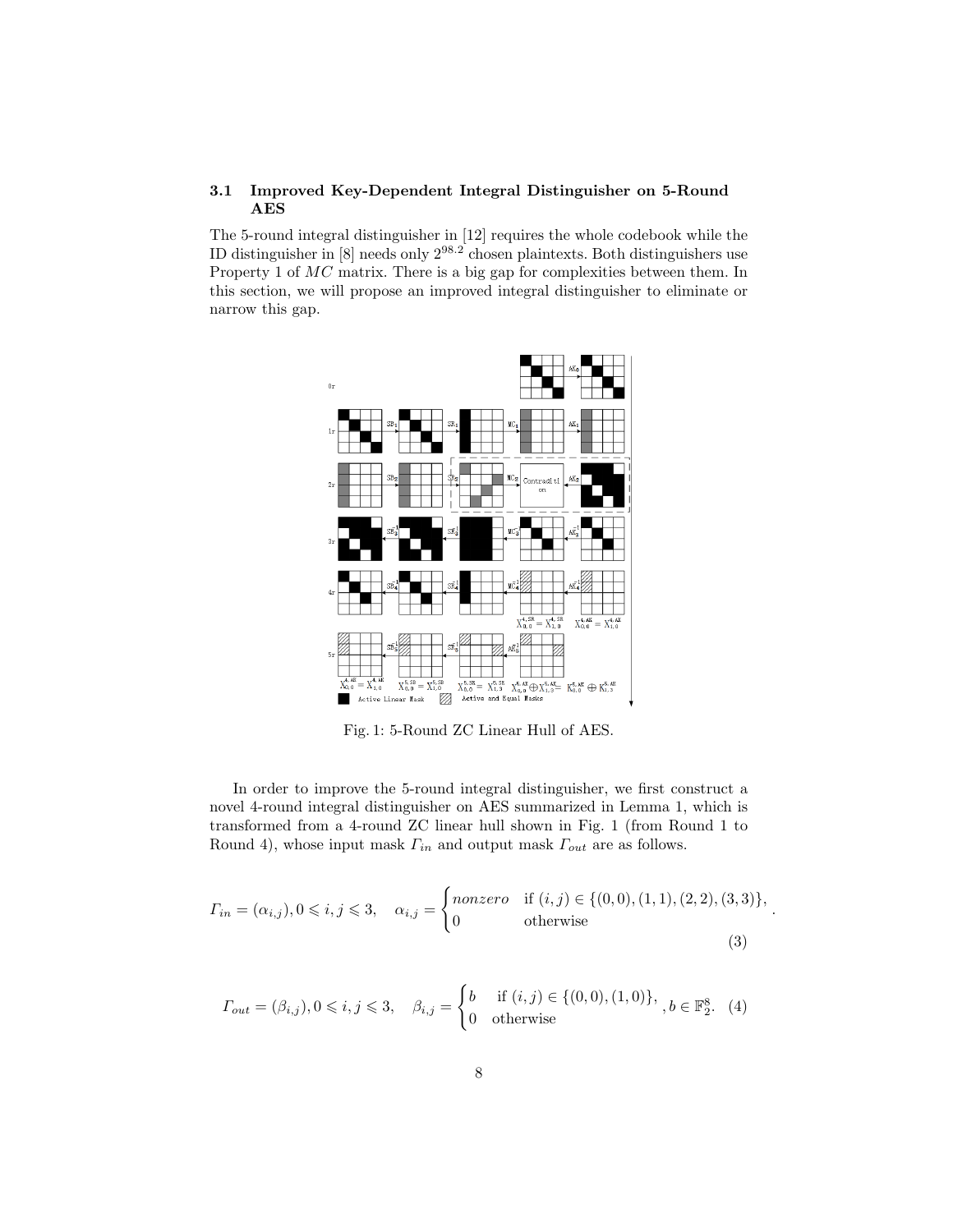# 3.1 Improved Key-Dependent Integral Distinguisher on 5-Round AES

The 5-round integral distinguisher in [12] requires the whole codebook while the ID distinguisher in [8] needs only 298.<sup>2</sup> chosen plaintexts. Both distinguishers use Property 1 of  $MC$  matrix. There is a big gap for complexities between them. In this section, we will propose an improved integral distinguisher to eliminate or narrow this gap.



Fig. 1: 5-Round ZC Linear Hull of AES.

In order to improve the 5-round integral distinguisher, we first construct a novel 4-round integral distinguisher on AES summarized in Lemma 1, which is transformed from a 4-round ZC linear hull shown in Fig. 1 (from Round 1 to Round 4), whose input mask  $\Gamma_{in}$  and output mask  $\Gamma_{out}$  are as follows.

$$
\Gamma_{in} = (\alpha_{i,j}), 0 \le i, j \le 3, \quad \alpha_{i,j} = \begin{cases} nonzero & \text{if } (i,j) \in \{ (0,0), (1,1), (2,2), (3,3) \}, \\ 0 & \text{otherwise} \end{cases}
$$
(3)

.

$$
\Gamma_{out} = (\beta_{i,j}), 0 \leqslant i, j \leqslant 3, \quad \beta_{i,j} = \begin{cases} b & \text{if } (i,j) \in \{ (0,0), (1,0) \}, \\ 0 & \text{otherwise} \end{cases}, b \in \mathbb{F}_2^8. \tag{4}
$$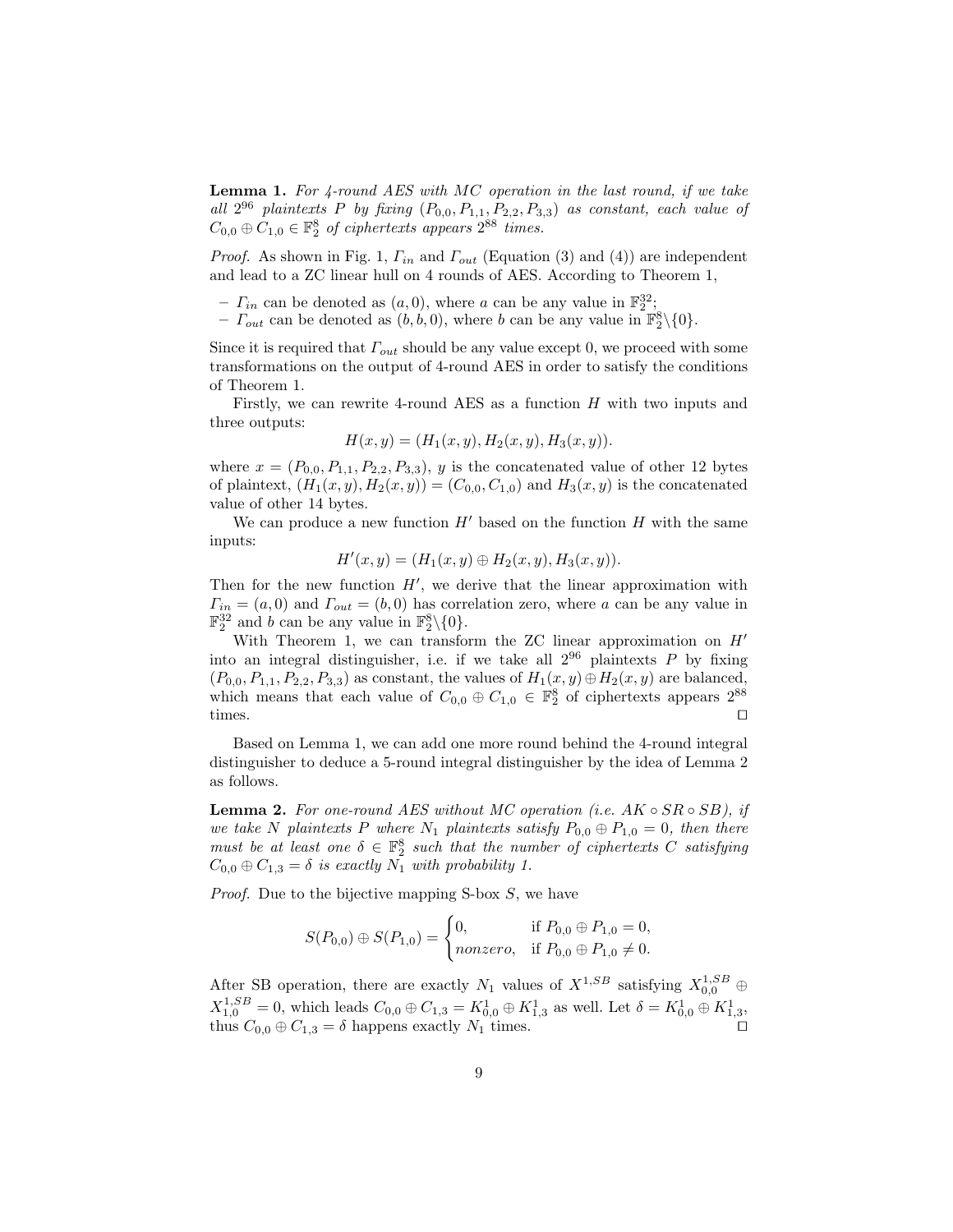**Lemma 1.** For  $\ddot{4}$ -round AES with MC operation in the last round, if we take all  $2^{96}$  plaintexts P by fixing  $(P_{0,0}, P_{1,1}, P_{2,2}, P_{3,3})$  as constant, each value of  $C_{0,0} \oplus C_{1,0} \in \mathbb{F}_2^8$  of ciphertexts appears  $2^{88}$  times.

*Proof.* As shown in Fig. 1,  $\Gamma_{in}$  and  $\Gamma_{out}$  (Equation (3) and (4)) are independent and lead to a ZC linear hull on 4 rounds of AES. According to Theorem 1,

-  $\Gamma_{in}$  can be denoted as  $(a, 0)$ , where a can be any value in  $\mathbb{F}_2^{32}$ ;

-  $\Gamma_{out}$  can be denoted as  $(b, b, 0)$ , where b can be any value in  $\mathbb{F}_2^8 \setminus \{0\}$ .

Since it is required that  $\Gamma_{out}$  should be any value except 0, we proceed with some transformations on the output of 4-round AES in order to satisfy the conditions of Theorem 1.

Firstly, we can rewrite 4-round AES as a function  $H$  with two inputs and three outputs:

$$
H(x, y) = (H1(x, y), H2(x, y), H3(x, y)).
$$

where  $x = (P_{0,0}, P_{1,1}, P_{2,2}, P_{3,3}), y$  is the concatenated value of other 12 bytes of plaintext,  $(H_1(x, y), H_2(x, y)) = (C_{0,0}, C_{1,0})$  and  $H_3(x, y)$  is the concatenated value of other 14 bytes.

We can produce a new function  $H'$  based on the function  $H$  with the same inputs:

$$
H'(x, y) = (H_1(x, y) \oplus H_2(x, y), H_3(x, y)).
$$

Then for the new function  $H'$ , we derive that the linear approximation with  $\Gamma_{in} = (a, 0)$  and  $\Gamma_{out} = (b, 0)$  has correlation zero, where a can be any value in  $\mathbb{F}_2^{32}$  and b can be any value in  $\mathbb{F}_2^8\backslash\{0\}$ .

With Theorem 1, we can transform the ZC linear approximation on  $H'$ into an integral distinguisher, i.e. if we take all  $2^{96}$  plaintexts P by fixing  $(P_{0,0}, P_{1,1}, P_{2,2}, P_{3,3})$  as constant, the values of  $H_1(x, y) \oplus H_2(x, y)$  are balanced, which means that each value of  $C_{0,0} \oplus C_{1,0} \in \mathbb{F}_2^8$  of ciphertexts appears  $2^{88}$ times.  $\square$ 

Based on Lemma 1, we can add one more round behind the 4-round integral distinguisher to deduce a 5-round integral distinguisher by the idea of Lemma 2 as follows.

**Lemma 2.** For one-round AES without MC operation (i.e.  $AK \circ SR \circ SB$ ), if we take N plaintexts P where  $N_1$  plaintexts satisfy  $P_{0,0} \oplus P_{1,0} = 0$ , then there must be at least one  $\delta \in \mathbb{F}_2^8$  such that the number of ciphertexts C satisfying  $C_{0,0} \oplus C_{1,3} = \delta$  is exactly  $N_1$  with probability 1.

*Proof.* Due to the bijective mapping S-box S, we have

$$
S(P_{0,0}) \oplus S(P_{1,0}) = \begin{cases} 0, & \text{if } P_{0,0} \oplus P_{1,0} = 0, \\ nonzero, & \text{if } P_{0,0} \oplus P_{1,0} \neq 0. \end{cases}
$$

After SB operation, there are exactly  $N_1$  values of  $X^{1,SB}$  satisfying  $X^{1,SB}_{0,0} \oplus$  $X_{1,0}^{1,SB}=0$ , which leads  $C_{0,0}\oplus C_{1,3}=K_{0,0}^1\oplus K_{1,3}^1$  as well. Let  $\delta=K_{0,0}^1\oplus K_{1,3}^1,$ thus  $C_{0,0} \oplus C_{1,3} = \delta$  happens exactly  $N_1$  times.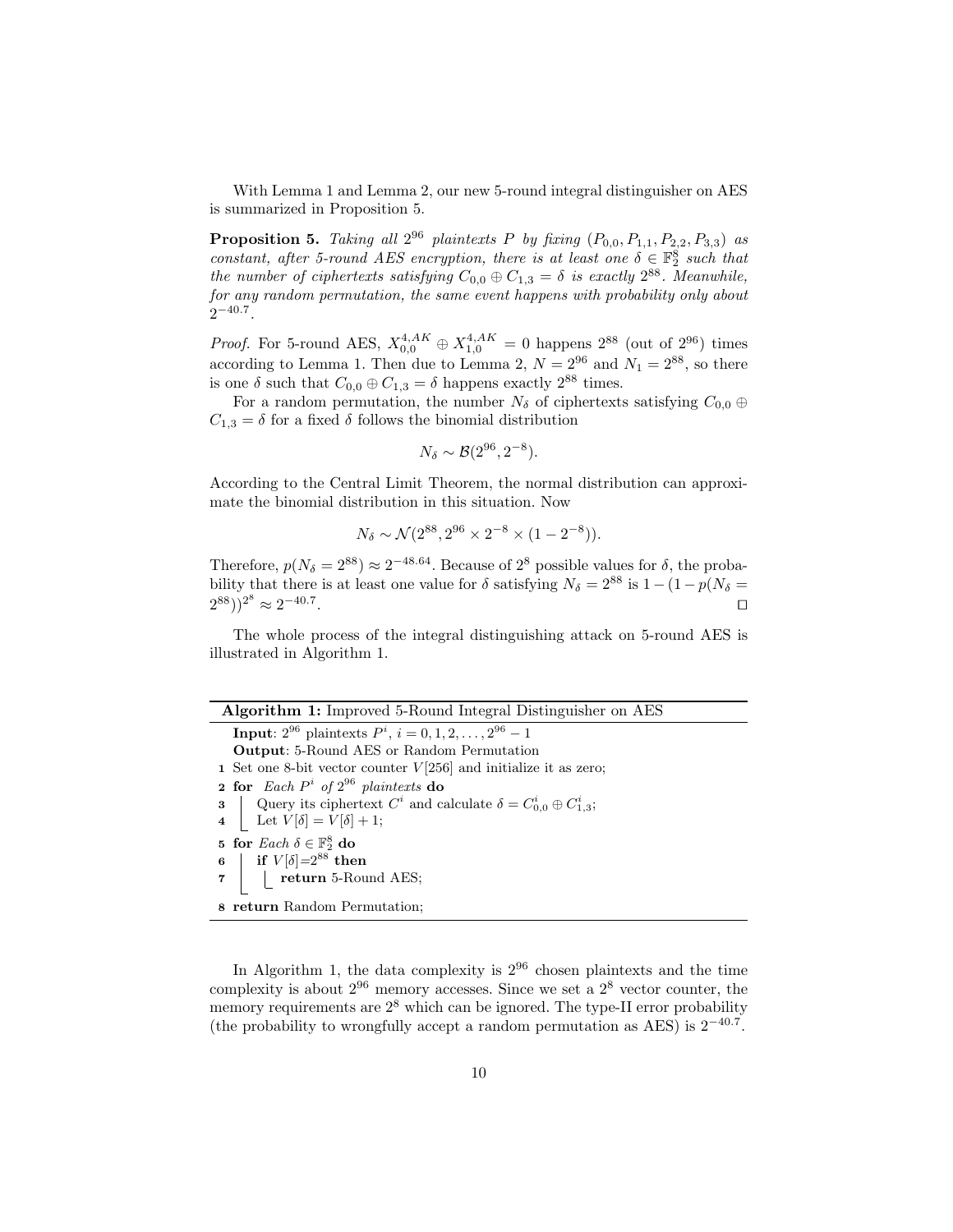With Lemma 1 and Lemma 2, our new 5-round integral distinguisher on AES is summarized in Proposition 5.

**Proposition 5.** Taking all  $2^{96}$  plaintexts P by fixing  $(P_{0,0}, P_{1,1}, P_{2,2}, P_{3,3})$  as constant, after 5-round AES encryption, there is at least one  $\delta \in \mathbb{F}_2^8$  such that the number of ciphertexts satisfying  $C_{0,0} \oplus C_{1,3} = \delta$  is exactly  $2^{88}$ . Meanwhile, for any random permutation, the same event happens with probability only about  $2^{-40.7}$ .

*Proof.* For 5-round AES,  $X_{0,0}^{4,AK} \oplus X_{1,0}^{4,AK} = 0$  happens  $2^{88}$  (out of  $2^{96}$ ) times according to Lemma 1. Then due to Lemma 2,  $N = 2^{96}$  and  $N_1 = 2^{88}$ , so there is one  $\delta$  such that  $C_{0,0} \oplus C_{1,3} = \delta$  happens exactly  $2^{88}$  times.

For a random permutation, the number  $N_{\delta}$  of ciphertexts satisfying  $C_{0,0} \oplus$  $C_{1,3} = \delta$  for a fixed  $\delta$  follows the binomial distribution

$$
N_{\delta} \sim \mathcal{B}(2^{96}, 2^{-8}).
$$

According to the Central Limit Theorem, the normal distribution can approximate the binomial distribution in this situation. Now

$$
N_{\delta} \sim \mathcal{N}(2^{88}, 2^{96} \times 2^{-8} \times (1 - 2^{-8})).
$$

Therefore,  $p(N_{\delta} = 2^{88}) \approx 2^{-48.64}$ . Because of  $2^{8}$  possible values for  $\delta$ , the probability that there is at least one value for  $\delta$  satisfying  $N_{\delta} = 2^{88}$  is  $1 - (1 - p(N_{\delta} =$  $(2^{88})^2$   $\approx 2^{-40.7}$ . The contract of the contract of the contract of the contract of the contract of the contract of the contract of the contract of the contract of the contract of the contract of the contract of the contract of the contract

The whole process of the integral distinguishing attack on 5-round AES is illustrated in Algorithm 1.

| Algorithm 1: Improved 5-Round Integral Distinguisher on AES |  |  |  |  |
|-------------------------------------------------------------|--|--|--|--|
|                                                             |  |  |  |  |

**Input**:  $2^{96}$  plaintexts  $P^i$ ,  $i = 0, 1, 2, ..., 2^{96} - 1$ Output: 5-Round AES or Random Permutation 1 Set one 8-bit vector counter  $V[256]$  and initialize it as zero; 2 for Each  $P^i$  of  $2^{96}$  plaintexts do 3 | Query its ciphertext  $C^i$  and calculate  $\delta = C^i_{0,0} \oplus C^i_{1,3}$ ; 4 | Let  $V[\delta] = V[\delta] + 1;$ 5 for  $\text{Each } \delta \in \mathbb{F}_2^8$  do 6 | if  $V[\delta] = 2^{88}$  then  $\left\lfloor \right.$  return 5-Round AES; 8 return Random Permutation;

In Algorithm 1, the data complexity is  $2^{96}$  chosen plaintexts and the time complexity is about  $2^{96}$  memory accesses. Since we set a  $2^8$  vector counter, the memory requirements are  $2^8$  which can be ignored. The type-II error probability (the probability to wrongfully accept a random permutation as AES) is  $2^{-40.7}$ .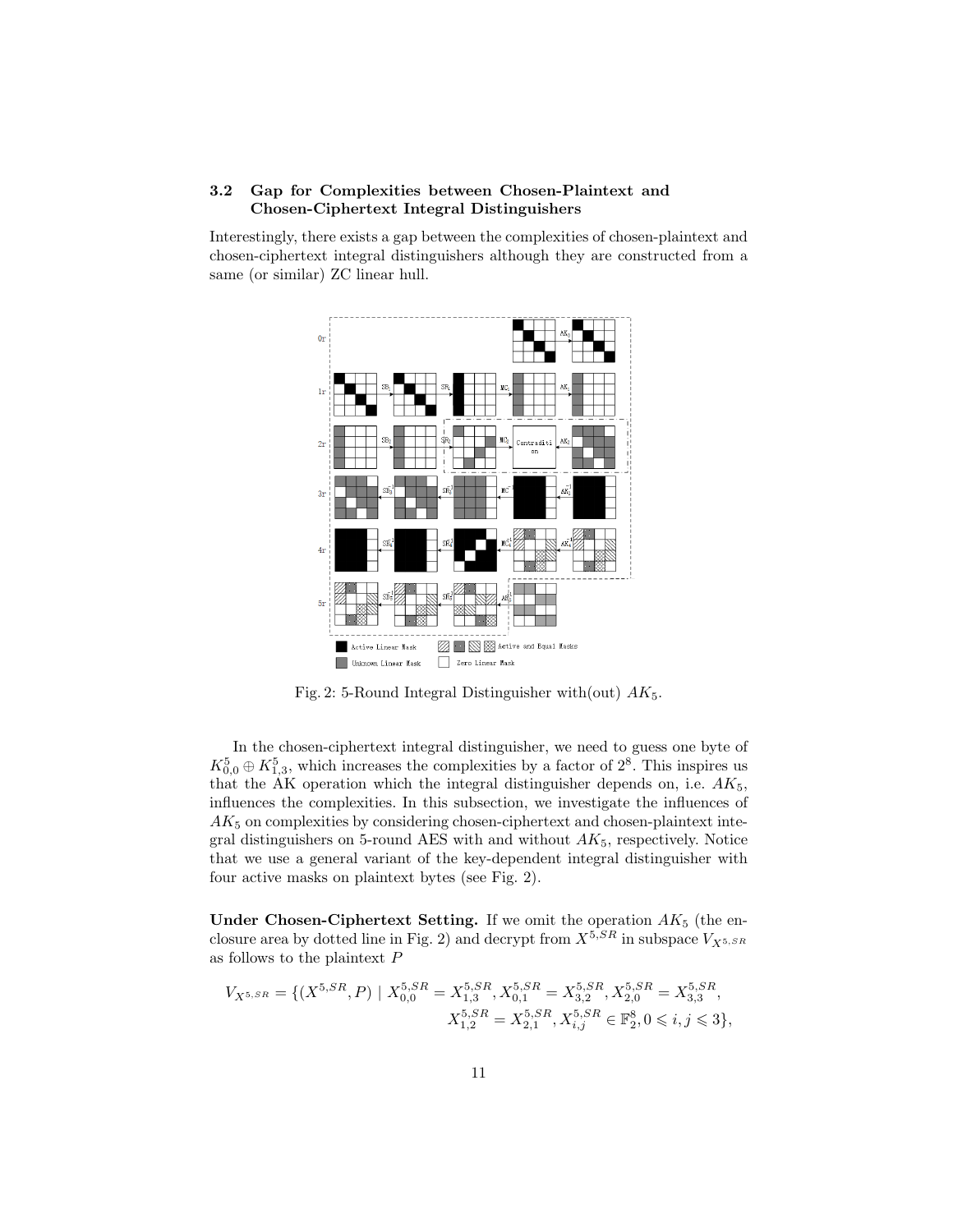# 3.2 Gap for Complexities between Chosen-Plaintext and Chosen-Ciphertext Integral Distinguishers

Interestingly, there exists a gap between the complexities of chosen-plaintext and chosen-ciphertext integral distinguishers although they are constructed from a same (or similar) ZC linear hull.



Fig. 2: 5-Round Integral Distinguisher with (out)  $AK_5$ .

In the chosen-ciphertext integral distinguisher, we need to guess one byte of  $K_{0,0}^5 \oplus K_{1,3}^5$ , which increases the complexities by a factor of  $2^8$ . This inspires us that the AK operation which the integral distinguisher depends on, i.e.  $AK_5$ , influences the complexities. In this subsection, we investigate the influences of  $AK<sub>5</sub>$  on complexities by considering chosen-ciphertext and chosen-plaintext integral distinguishers on 5-round AES with and without  $AK_5$ , respectively. Notice that we use a general variant of the key-dependent integral distinguisher with four active masks on plaintext bytes (see Fig. 2).

Under Chosen-Ciphertext Setting. If we omit the operation  $AK_5$  (the enclosure area by dotted line in Fig. 2) and decrypt from  $X^{5,SR}$  in subspace  $V_{X^{5,SR}}$ as follows to the plaintext P

$$
V_{X^{5,SR}} = \{ (X^{5,SR}, P) \mid X_{0,0}^{5,SR} = X_{1,3}^{5,SR}, X_{0,1}^{5,SR} = X_{3,2}^{5,SR}, X_{2,0}^{5,SR} = X_{3,3}^{5,SR},
$$
  

$$
X_{1,2}^{5,SR} = X_{2,1}^{5,SR}, X_{i,j}^{5,SR} \in \mathbb{F}_2^8, 0 \leqslant i, j \leqslant 3 \},
$$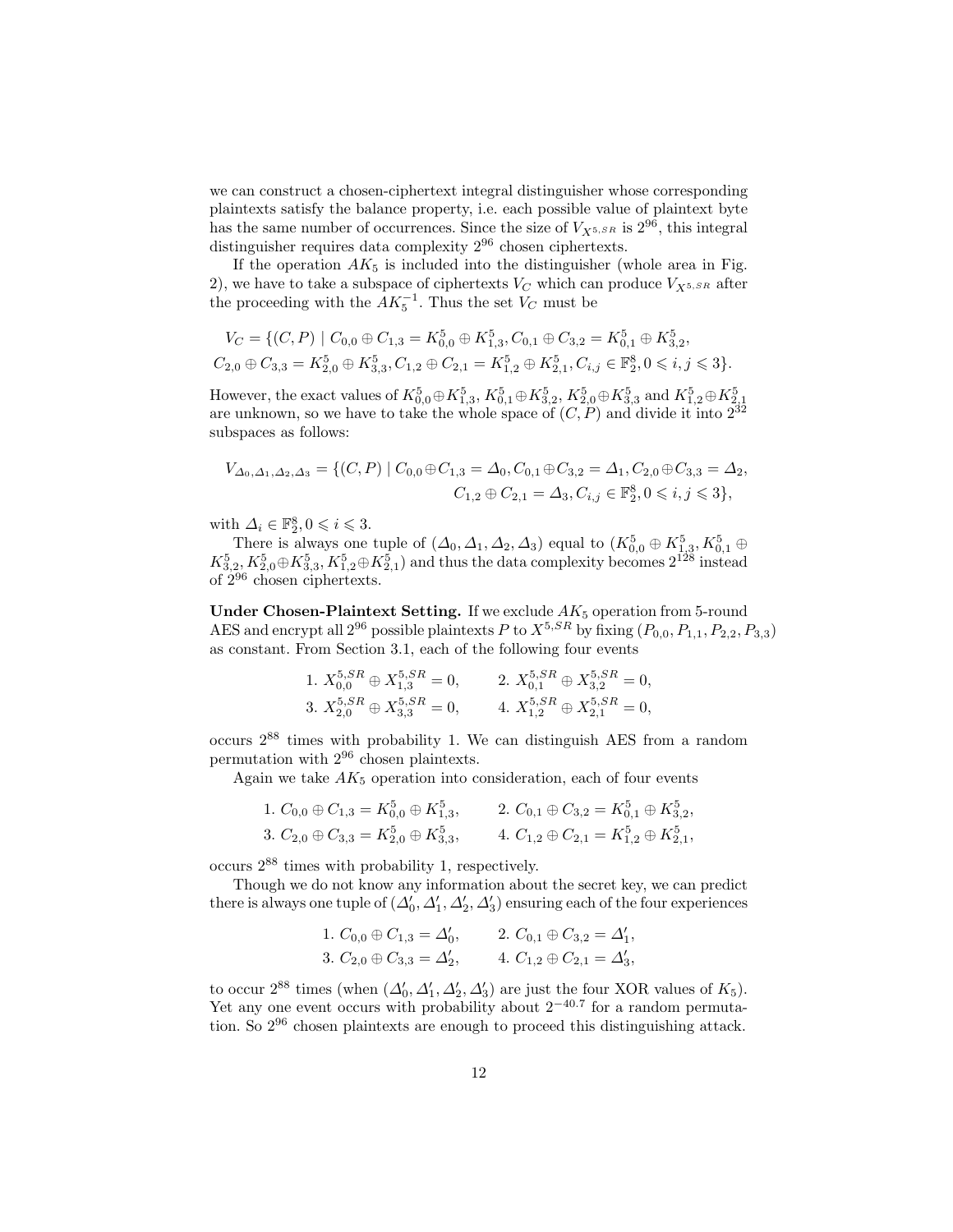we can construct a chosen-ciphertext integral distinguisher whose corresponding plaintexts satisfy the balance property, i.e. each possible value of plaintext byte has the same number of occurrences. Since the size of  $V_{X^{5,SR}}$  is  $2^{96}$ , this integral distinguisher requires data complexity  $2^{96}$  chosen ciphertexts.

If the operation  $AK_5$  is included into the distinguisher (whole area in Fig. 2), we have to take a subspace of ciphertexts  $V_C$  which can produce  $V_{X^{5,SR}}$  after the proceeding with the  $AK_5^{-1}$ . Thus the set  $V_C$  must be

$$
V_C = \{ (C, P) \mid C_{0,0} \oplus C_{1,3} = K_{0,0}^5 \oplus K_{1,3}^5, C_{0,1} \oplus C_{3,2} = K_{0,1}^5 \oplus K_{3,2}^5, C_{2,0} \oplus C_{3,3} = K_{2,0}^5 \oplus K_{3,3}^5, C_{1,2} \oplus C_{2,1} = K_{1,2}^5 \oplus K_{2,1}^5, C_{i,j} \in \mathbb{F}_2^8, 0 \leq i, j \leq 3 \}.
$$

However, the exact values of  $K_{0,0}^5 \oplus K_{1,3}^5$ ,  $K_{0,1}^5 \oplus K_{3,2}^5$ ,  $K_{2,0}^5 \oplus K_{3,3}^5$  and  $K_{1,2}^5 \oplus K_{2,1}^5$ are unknown, so we have to take the whole space of  $(C, P)$  and divide it into  $2^{32}$ subspaces as follows:

$$
V_{\Delta_0,\Delta_1,\Delta_2,\Delta_3} = \{ (C, P) \mid C_{0,0} \oplus C_{1,3} = \Delta_0, C_{0,1} \oplus C_{3,2} = \Delta_1, C_{2,0} \oplus C_{3,3} = \Delta_2, C_{1,2} \oplus C_{2,1} = \Delta_3, C_{i,j} \in \mathbb{F}_2^8, 0 \leq i, j \leq 3 \},
$$

with  $\Delta_i \in \mathbb{F}_2^8, 0 \leqslant i \leqslant 3$ .

There is always one tuple of  $(\Delta_0, \Delta_1, \Delta_2, \Delta_3)$  equal to  $(K_{0,0}^5 \oplus K_{1,3}^5, K_{0,1}^5 \oplus$  $K_{3,2}^5, K_{2,0}^5 \oplus K_{3,3}^5, K_{1,2}^5 \oplus K_{2,1}^5)$  and thus the data complexity becomes  $2^{128}$  instead of 2<sup>96</sup> chosen ciphertexts.

Under Chosen-Plaintext Setting. If we exclude  $AK_5$  operation from 5-round AES and encrypt all  $2^{96}$  possible plaintexts P to  $X^{5,SR}$  by fixing  $(P_{0,0}, P_{1,1}, P_{2,2}, P_{3,3})$ as constant. From Section 3.1, each of the following four events

1. 
$$
X_{0,0}^{5,SR} \oplus X_{1,3}^{5,SR} = 0
$$
, 2.  $X_{0,1}^{5,SR} \oplus X_{3,2}^{5,SR} = 0$ ,  
\n3.  $X_{2,0}^{5,SR} \oplus X_{3,3}^{5,SR} = 0$ , 4.  $X_{1,2}^{5,SR} \oplus X_{2,1}^{5,SR} = 0$ ,

occurs  $2^{88}$  times with probability 1. We can distinguish AES from a random permutation with 2<sup>96</sup> chosen plaintexts.

Again we take  $AK_5$  operation into consideration, each of four events

1. 
$$
C_{0,0} \oplus C_{1,3} = K_{0,0}^5 \oplus K_{1,3}^5
$$
, 2.  $C_{0,1} \oplus C_{3,2} = K_{0,1}^5 \oplus K_{3,2}^5$ ,  
\n3.  $C_{2,0} \oplus C_{3,3} = K_{2,0}^5 \oplus K_{3,3}^5$ , 4.  $C_{1,2} \oplus C_{2,1} = K_{1,2}^5 \oplus K_{2,1}^5$ ,

occurs 2<sup>88</sup> times with probability 1, respectively.

Though we do not know any information about the secret key, we can predict there is always one tuple of  $(\Delta_0', \Delta_1', \Delta_2', \Delta_3')$  ensuring each of the four experiences

1. 
$$
C_{0,0} \oplus C_{1,3} = \Delta'_0
$$
, 2.  $C_{0,1} \oplus C_{3,2} = \Delta'_1$ ,  
3.  $C_{2,0} \oplus C_{3,3} = \Delta'_2$ , 4.  $C_{1,2} \oplus C_{2,1} = \Delta'_3$ ,

to occur  $2^{88}$  times (when  $(\Delta'_0, \Delta'_1, \Delta'_2, \Delta'_3)$  are just the four XOR values of  $K_5$ ). Yet any one event occurs with probability about  $2^{-40.7}$  for a random permutation. So 2<sup>96</sup> chosen plaintexts are enough to proceed this distinguishing attack.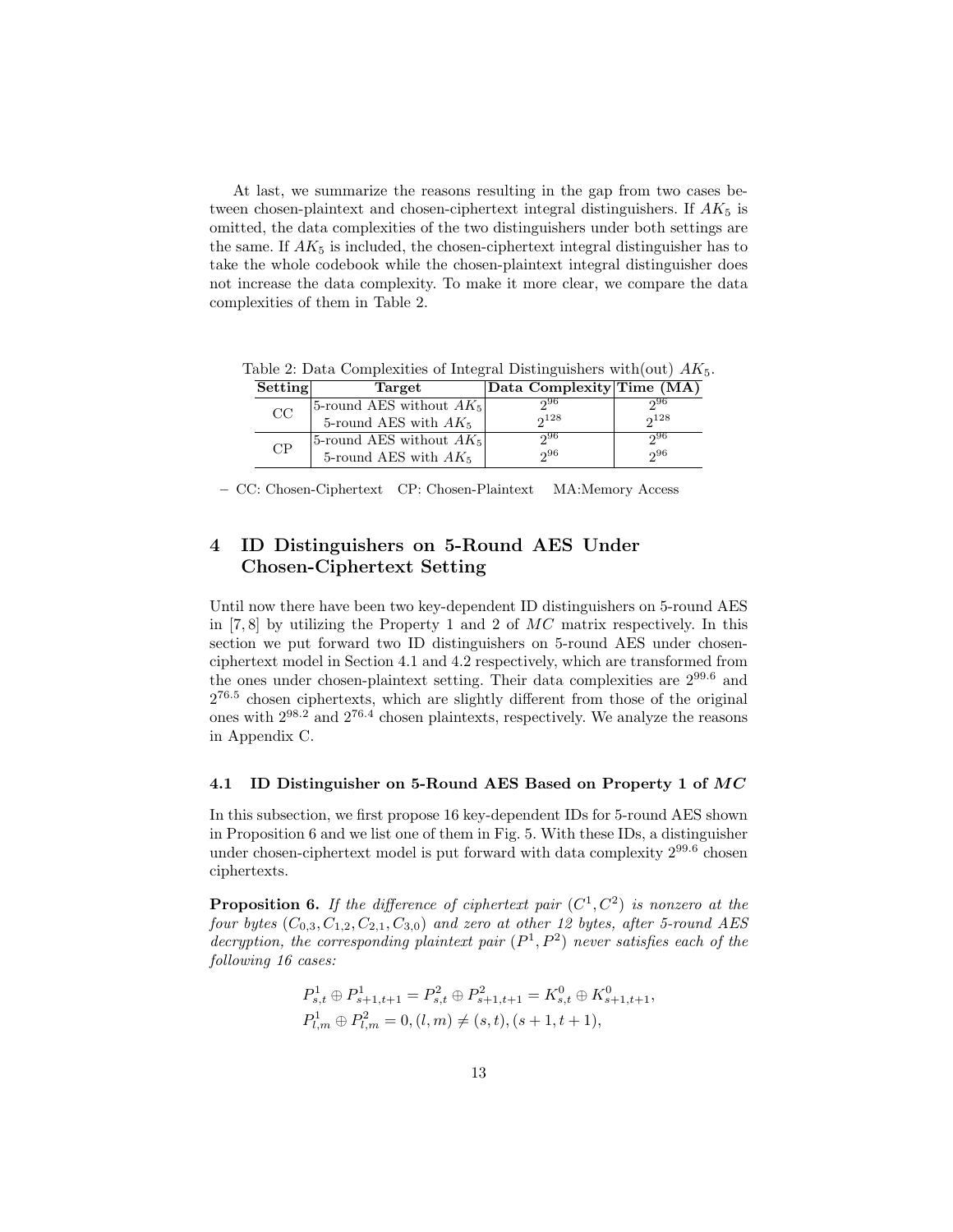At last, we summarize the reasons resulting in the gap from two cases between chosen-plaintext and chosen-ciphertext integral distinguishers. If  $AK_5$  is omitted, the data complexities of the two distinguishers under both settings are the same. If  $AK_5$  is included, the chosen-ciphertext integral distinguisher has to take the whole codebook while the chosen-plaintext integral distinguisher does not increase the data complexity. To make it more clear, we compare the data complexities of them in Table 2.

| Setting | Target                     | Data Complexity Time (MA) |           |
|---------|----------------------------|---------------------------|-----------|
| CC      | 5-round AES without $AK_5$ | റ96                       | റ്റ96     |
|         | 5-round AES with $AK_5$    | $2^{128}$                 | $2^{128}$ |
| CP      | 5-round AES without $AK_5$ | 296                       | റ96       |
|         | 5-round AES with $AK_5$    | 296                       | $2^{96}$  |

Table 2: Data Complexities of Integral Distinguishers with (out)  $AK_5$ .

– CC: Chosen-Ciphertext CP: Chosen-Plaintext MA:Memory Access

# 4 ID Distinguishers on 5-Round AES Under Chosen-Ciphertext Setting

Until now there have been two key-dependent ID distinguishers on 5-round AES in  $[7, 8]$  by utilizing the Property 1 and 2 of  $MC$  matrix respectively. In this section we put forward two ID distinguishers on 5-round AES under chosenciphertext model in Section 4.1 and 4.2 respectively, which are transformed from the ones under chosen-plaintext setting. Their data complexities are 299.<sup>6</sup> and  $2^{76.5}$  chosen ciphertexts, which are slightly different from those of the original ones with  $2^{98.2}$  and  $2^{76.4}$  chosen plaintexts, respectively. We analyze the reasons in Appendix C.

#### 4.1 ID Distinguisher on 5-Round AES Based on Property 1 of MC

In this subsection, we first propose 16 key-dependent IDs for 5-round AES shown in Proposition 6 and we list one of them in Fig. 5. With these IDs, a distinguisher under chosen-ciphertext model is put forward with data complexity  $2^{99.6}$  chosen ciphertexts.

**Proposition 6.** If the difference of ciphertext pair  $(C^1, C^2)$  is nonzero at the four bytes  $(C_{0,3}, C_{1,2}, C_{2,1}, C_{3,0})$  and zero at other 12 bytes, after 5-round AES decryption, the corresponding plaintext pair  $(P^1, P^2)$  never satisfies each of the following 16 cases:

$$
P_{s,t}^1 \oplus P_{s+1,t+1}^1 = P_{s,t}^2 \oplus P_{s+1,t+1}^2 = K_{s,t}^0 \oplus K_{s+1,t+1}^0,
$$
  

$$
P_{l,m}^1 \oplus P_{l,m}^2 = 0, (l,m) \neq (s,t), (s+1,t+1),
$$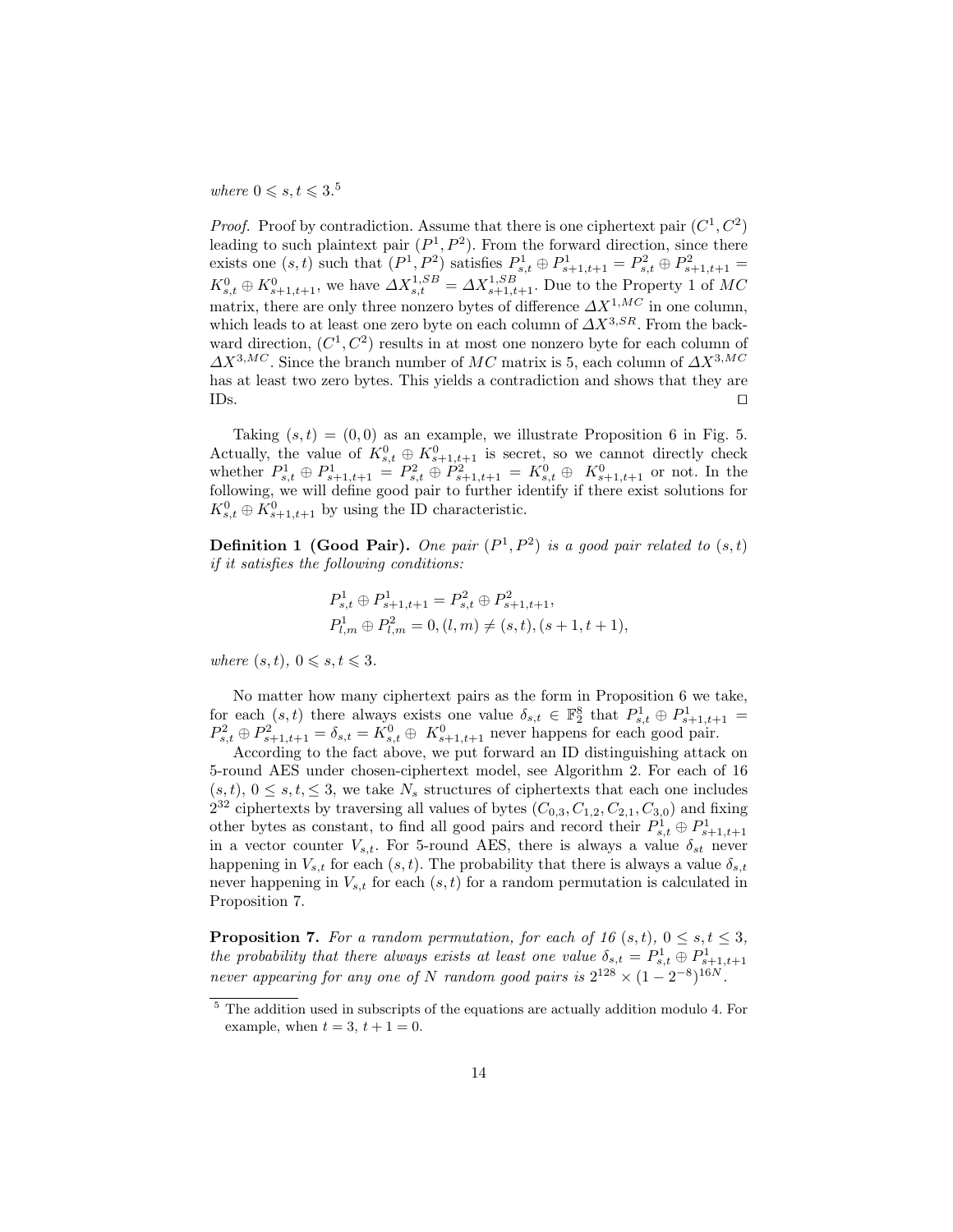# where  $0 \leqslant s, t \leqslant 3.5$

*Proof.* Proof by contradiction. Assume that there is one ciphertext pair  $(C^1, C^2)$ leading to such plaintext pair  $(P^1, P^2)$ . From the forward direction, since there exists one  $(s, t)$  such that  $(P^1, P^2)$  satisfies  $P_{s,t}^1 \oplus P_{s+1,t+1}^1 = P_{s,t}^2 \oplus P_{s+1,t+1}^2 =$  $K^0_{s,t} \oplus K^0_{s+1,t+1}$ , we have  $\Delta X^{1,SB}_{s,t} = \Delta X^{1,SB}_{s+1,t+1}$ . Due to the Property 1 of MC matrix, there are only three nonzero bytes of difference  $\Delta X^{1,MC}$  in one column, which leads to at least one zero byte on each column of  $\Delta X^{3,SR}$ . From the backward direction,  $(C^1, C^2)$  results in at most one nonzero byte for each column of  $\Delta X^{3,MC}$ . Since the branch number of MC matrix is 5, each column of  $\Delta X^{3,MC}$ has at least two zero bytes. This yields a contradiction and shows that they are  $\Box$ s.

Taking  $(s, t) = (0, 0)$  as an example, we illustrate Proposition 6 in Fig. 5. Actually, the value of  $K^0_{s,t} \oplus K^0_{s+1,t+1}$  is secret, so we cannot directly check whether  $P_{s,t}^1 \oplus P_{s+1,t+1}^1 = P_{s,t}^2 \oplus P_{s+1,t+1}^2 = K_{s,t}^0 \oplus K_{s+1,t+1}^0$  or not. In the following, we will define good pair to further identify if there exist solutions for  $K_{s,t}^0 \oplus K_{s+1,t+1}^0$  by using the ID characteristic.

**Definition 1 (Good Pair).** One pair  $(P^1, P^2)$  is a good pair related to  $(s,t)$ if it satisfies the following conditions:

$$
P_{s,t}^1 \oplus P_{s+1,t+1}^1 = P_{s,t}^2 \oplus P_{s+1,t+1}^2,
$$
  

$$
P_{l,m}^1 \oplus P_{l,m}^2 = 0, (l,m) \neq (s,t), (s+1,t+1),
$$

where  $(s, t)$ ,  $0 \leq s, t \leq 3$ .

No matter how many ciphertext pairs as the form in Proposition 6 we take, for each  $(s,t)$  there always exists one value  $\delta_{s,t} \in \mathbb{F}_2^8$  that  $P_{s,t}^1 \oplus P_{s+1,t+1}^1 =$  $P_{s,t}^2 \oplus P_{s+1,t+1}^2 = \delta_{s,t} = K_{s,t}^0 \oplus K_{s+1,t+1}^0$  never happens for each good pair.

According to the fact above, we put forward an ID distinguishing attack on 5-round AES under chosen-ciphertext model, see Algorithm 2. For each of 16  $(s, t), 0 \leq s, t, \leq 3$ , we take  $N_s$  structures of ciphertexts that each one includes  $2^{32}$  ciphertexts by traversing all values of bytes  $(C_{0,3}, C_{1,2}, C_{2,1}, C_{3,0})$  and fixing other bytes as constant, to find all good pairs and record their  $P_{s,t}^1 \oplus P_{s+1,t+1}^1$ in a vector counter  $V_{s,t}$ . For 5-round AES, there is always a value  $\delta_{st}$  never happening in  $V_{s,t}$  for each  $(s, t)$ . The probability that there is always a value  $\delta_{s,t}$ never happening in  $V_{s,t}$  for each  $(s, t)$  for a random permutation is calculated in Proposition 7.

**Proposition 7.** For a random permutation, for each of 16  $(s, t)$ ,  $0 \le s, t \le 3$ , the probability that there always exists at least one value  $\delta_{s,t} = P_{s,t}^1 \oplus P_{s+1,t+1}^1$ never appearing for any one of N random good pairs is  $2^{128} \times (1 - 2^{-8})^{16N}$ .

 $5$  The addition used in subscripts of the equations are actually addition modulo 4. For example, when  $t = 3$ ,  $t + 1 = 0$ .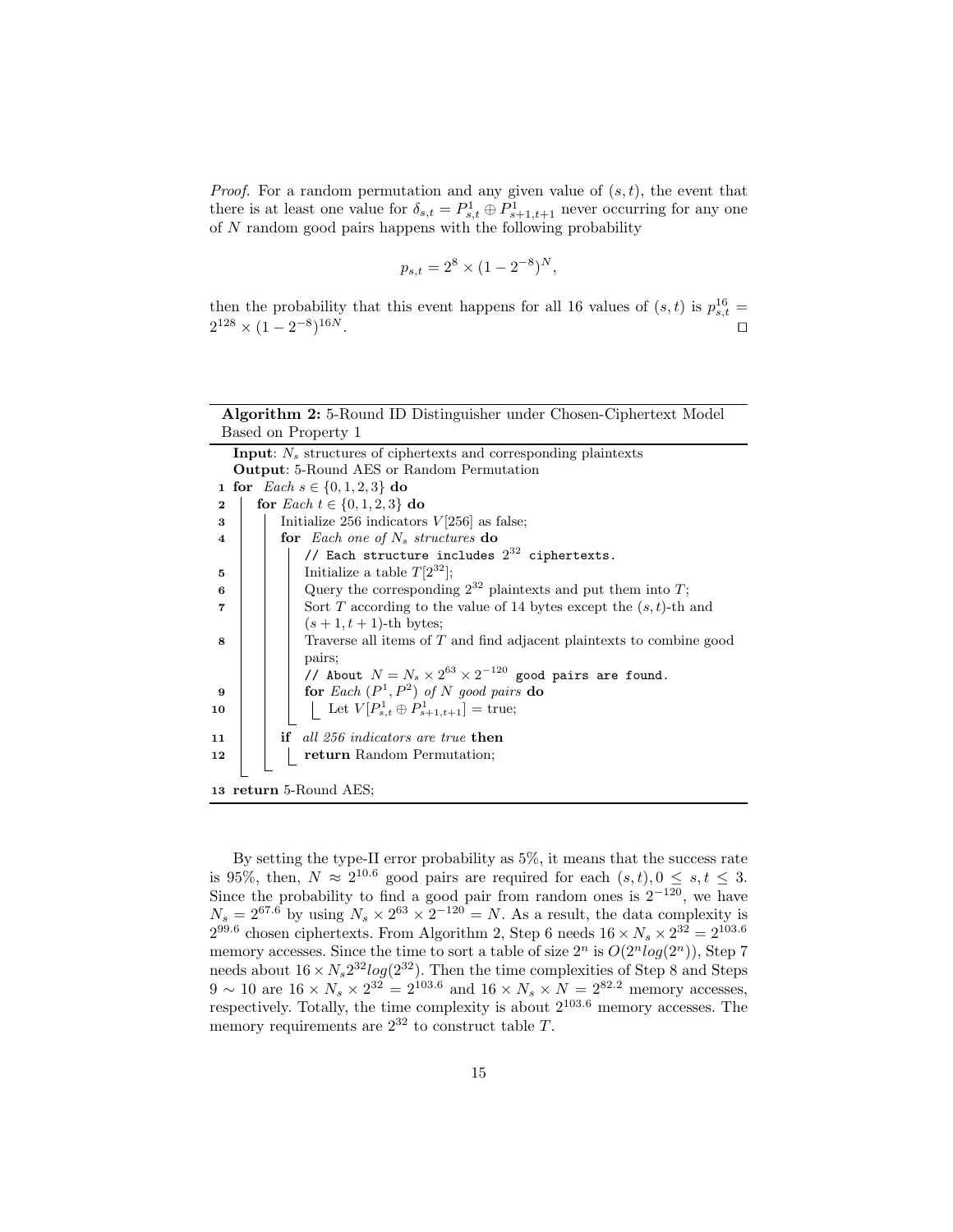*Proof.* For a random permutation and any given value of  $(s, t)$ , the event that there is at least one value for  $\delta_{s,t} = P_{s,t}^1 \oplus P_{s+1,t+1}^1$  never occurring for any one of  $N$  random good pairs happens with the following probability

$$
p_{s,t} = 2^8 \times (1 - 2^{-8})^N,
$$

then the probability that this event happens for all 16 values of  $(s,t)$  is  $p_{s,t}^{16} =$  $2^{128} \times (1-2^{-8})$  $16N$ .

| <b>Algorithm 2:</b> 5-Round ID Distinguisher under Chosen-Ciphertext Model |  |  |
|----------------------------------------------------------------------------|--|--|
| Based on Property 1                                                        |  |  |

|                        | <b>Input:</b> $N_s$ structures of ciphertexts and corresponding plaintexts |  |  |  |  |  |  |  |
|------------------------|----------------------------------------------------------------------------|--|--|--|--|--|--|--|
|                        | <b>Output:</b> 5-Round AES or Random Permutation                           |  |  |  |  |  |  |  |
|                        | 1 for <i>Each</i> $s \in \{0, 1, 2, 3\}$ do                                |  |  |  |  |  |  |  |
| $\mathbf 2$            | for <i>Each</i> $t \in \{0, 1, 2, 3\}$ do                                  |  |  |  |  |  |  |  |
| 3                      | Initialize 256 indicators $V[256]$ as false;                               |  |  |  |  |  |  |  |
| 4                      | for Each one of $N_s$ structures do                                        |  |  |  |  |  |  |  |
|                        | // Each structure includes $2^{32}$ ciphertexts.                           |  |  |  |  |  |  |  |
| 5                      | Initialize a table $T[2^{32}]$ ;                                           |  |  |  |  |  |  |  |
| 6                      | Query the corresponding $2^{32}$ plaintexts and put them into T;           |  |  |  |  |  |  |  |
| 7                      | Sort T according to the value of 14 bytes except the $(s, t)$ -th and      |  |  |  |  |  |  |  |
|                        | $(s+1,t+1)$ -th bytes;                                                     |  |  |  |  |  |  |  |
| 8                      | Traverse all items of T and find adjacent plaintexts to combine good       |  |  |  |  |  |  |  |
|                        | pairs;                                                                     |  |  |  |  |  |  |  |
|                        | // About $N = N_s \times 2^{63} \times 2^{-120}$ good pairs are found.     |  |  |  |  |  |  |  |
| 9                      | for Each $(P^1, P^2)$ of N good pairs do                                   |  |  |  |  |  |  |  |
| 10                     | Let $V[P_{s,t}^1 \oplus P_{s+1,t+1}^1] = \text{true};$                     |  |  |  |  |  |  |  |
|                        |                                                                            |  |  |  |  |  |  |  |
| 11                     | <b>if</b> all 256 indicators are true <b>then</b>                          |  |  |  |  |  |  |  |
| 12                     | return Random Permutation;                                                 |  |  |  |  |  |  |  |
|                        |                                                                            |  |  |  |  |  |  |  |
| 13 return 5-Round AES; |                                                                            |  |  |  |  |  |  |  |

By setting the type-II error probability as 5%, it means that the success rate is 95%, then,  $N \approx 2^{10.6}$  good pairs are required for each  $(s,t)$ ,  $0 \leq s, t \leq 3$ . Since the probability to find a good pair from random ones is  $2^{-120}$ , we have  $N_s = 2^{67.6}$  by using  $N_s \times 2^{63} \times 2^{-120} = N$ . As a result, the data complexity is  $2^{99.6}$  chosen ciphertexts. From Algorithm 2, Step 6 needs  $16 \times N_s \times 2^{32} = 2^{103.6}$ memory accesses. Since the time to sort a table of size  $2^n$  is  $O(2^n \log(2^n))$ , Step 7 needs about  $16 \times N_s 2^{32} \log(2^{32})$ . Then the time complexities of Step 8 and Steps  $9 \sim 10$  are  $16 \times N_s \times 2^{32} = 2^{103.6}$  and  $16 \times N_s \times N = 2^{82.2}$  memory accesses, respectively. Totally, the time complexity is about  $2^{103.6}$  memory accesses. The memory requirements are  $2^{32}$  to construct table T.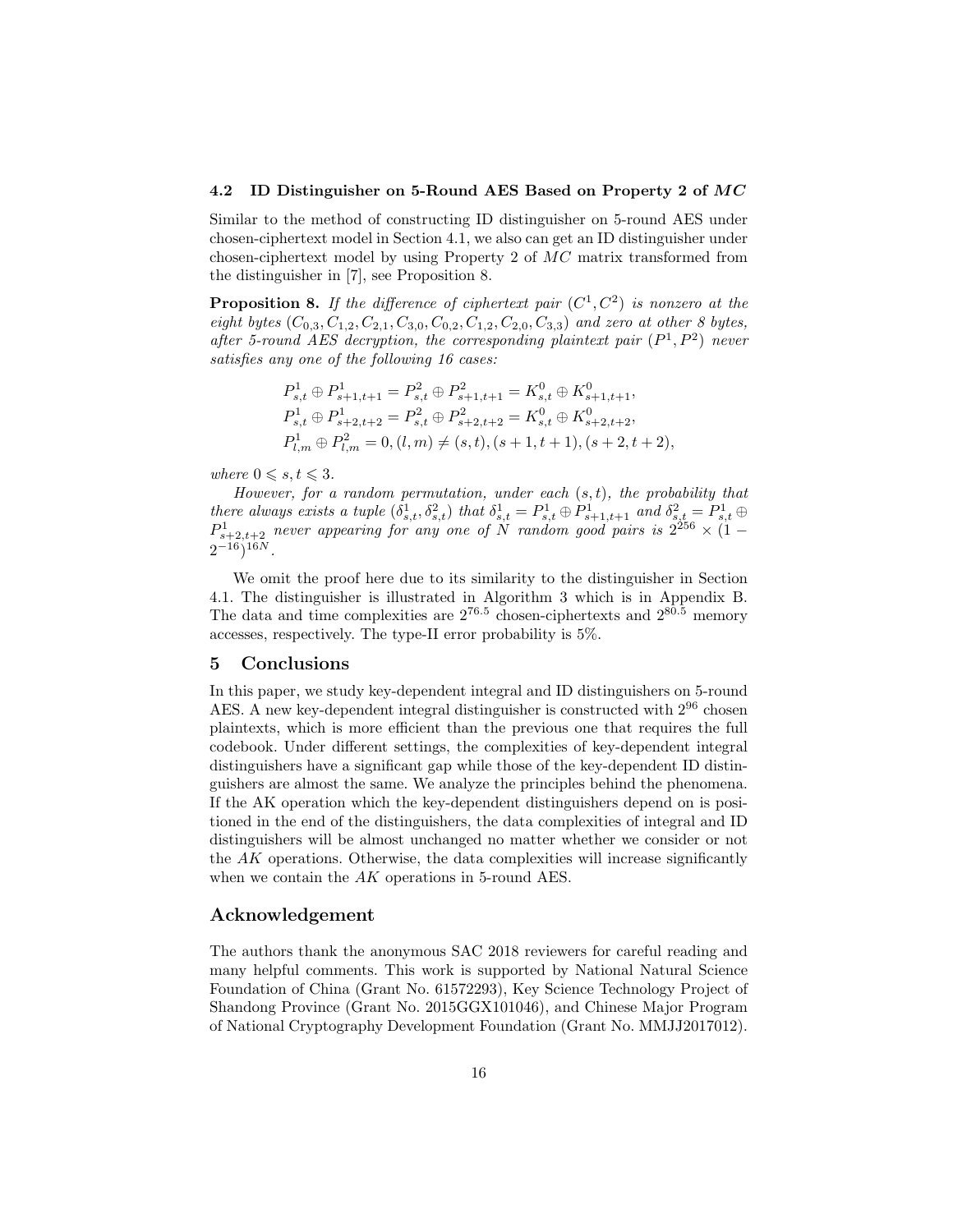#### 4.2 ID Distinguisher on 5-Round AES Based on Property 2 of MC

Similar to the method of constructing ID distinguisher on 5-round AES under chosen-ciphertext model in Section 4.1, we also can get an ID distinguisher under chosen-ciphertext model by using Property 2 of MC matrix transformed from the distinguisher in [7], see Proposition 8.

**Proposition 8.** If the difference of ciphertext pair  $(C^1, C^2)$  is nonzero at the eight bytes  $(C_{0,3}, C_{1,2}, C_{2,1}, C_{3,0}, C_{0,2}, C_{1,2}, C_{2,0}, C_{3,3})$  and zero at other 8 bytes, after 5-round AES decryption, the corresponding plaintext pair  $(P^1, P^2)$  never satisfies any one of the following 16 cases:

$$
P_{s,t}^1 \oplus P_{s+1,t+1}^1 = P_{s,t}^2 \oplus P_{s+1,t+1}^2 = K_{s,t}^0 \oplus K_{s+1,t+1}^0,
$$
  
\n
$$
P_{s,t}^1 \oplus P_{s+2,t+2}^1 = P_{s,t}^2 \oplus P_{s+2,t+2}^2 = K_{s,t}^0 \oplus K_{s+2,t+2}^0,
$$
  
\n
$$
P_{l,m}^1 \oplus P_{l,m}^2 = 0, (l,m) \neq (s,t), (s+1,t+1), (s+2,t+2),
$$

where  $0 \leqslant s, t \leqslant 3$ .

However, for a random permutation, under each  $(s, t)$ , the probability that there always exists a tuple  $(\delta_{s,t}^1, \delta_{s,t}^2)$  that  $\delta_{s,t}^1 = P_{s,t}^1 \oplus P_{s+1,t+1}^1$  and  $\delta_{s,t}^2 = P_{s,t}^1 \oplus$  $P^1_{s+2,t+2}$  never appearing for any one of N random good pairs is  $2^{256} \times (1 2^{-16})^{16N}$ .

We omit the proof here due to its similarity to the distinguisher in Section 4.1. The distinguisher is illustrated in Algorithm 3 which is in Appendix B. The data and time complexities are  $2^{76.5}$  chosen-ciphertexts and  $2^{80.5}$  memory accesses, respectively. The type-II error probability is 5%.

### 5 Conclusions

In this paper, we study key-dependent integral and ID distinguishers on 5-round AES. A new key-dependent integral distinguisher is constructed with 2<sup>96</sup> chosen plaintexts, which is more efficient than the previous one that requires the full codebook. Under different settings, the complexities of key-dependent integral distinguishers have a significant gap while those of the key-dependent ID distinguishers are almost the same. We analyze the principles behind the phenomena. If the AK operation which the key-dependent distinguishers depend on is positioned in the end of the distinguishers, the data complexities of integral and ID distinguishers will be almost unchanged no matter whether we consider or not the AK operations. Otherwise, the data complexities will increase significantly when we contain the AK operations in 5-round AES.

# Acknowledgement

The authors thank the anonymous SAC 2018 reviewers for careful reading and many helpful comments. This work is supported by National Natural Science Foundation of China (Grant No. 61572293), Key Science Technology Project of Shandong Province (Grant No. 2015GGX101046), and Chinese Major Program of National Cryptography Development Foundation (Grant No. MMJJ2017012).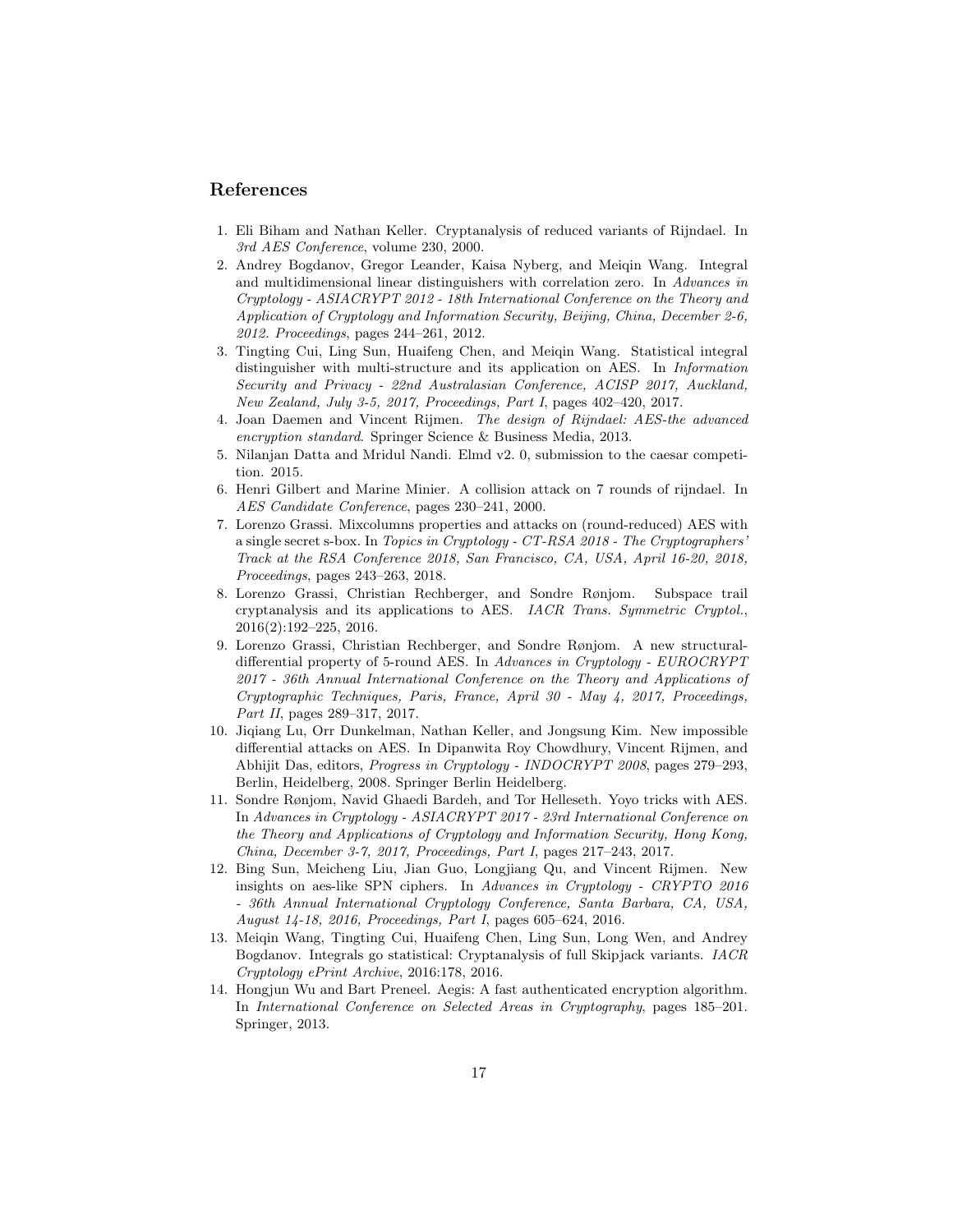## References

- 1. Eli Biham and Nathan Keller. Cryptanalysis of reduced variants of Rijndael. In 3rd AES Conference, volume 230, 2000.
- 2. Andrey Bogdanov, Gregor Leander, Kaisa Nyberg, and Meiqin Wang. Integral and multidimensional linear distinguishers with correlation zero. In Advances in Cryptology - ASIACRYPT 2012 - 18th International Conference on the Theory and Application of Cryptology and Information Security, Beijing, China, December 2-6, 2012. Proceedings, pages 244–261, 2012.
- 3. Tingting Cui, Ling Sun, Huaifeng Chen, and Meiqin Wang. Statistical integral distinguisher with multi-structure and its application on AES. In Information Security and Privacy - 22nd Australasian Conference, ACISP 2017, Auckland, New Zealand, July 3-5, 2017, Proceedings, Part I, pages 402–420, 2017.
- 4. Joan Daemen and Vincent Rijmen. The design of Rijndael: AES-the advanced encryption standard. Springer Science & Business Media, 2013.
- 5. Nilanjan Datta and Mridul Nandi. Elmd v2. 0, submission to the caesar competition. 2015.
- 6. Henri Gilbert and Marine Minier. A collision attack on 7 rounds of rijndael. In AES Candidate Conference, pages 230–241, 2000.
- 7. Lorenzo Grassi. Mixcolumns properties and attacks on (round-reduced) AES with a single secret s-box. In Topics in Cryptology - CT-RSA 2018 - The Cryptographers' Track at the RSA Conference 2018, San Francisco, CA, USA, April 16-20, 2018, Proceedings, pages 243–263, 2018.
- 8. Lorenzo Grassi, Christian Rechberger, and Sondre Rønjom. Subspace trail cryptanalysis and its applications to AES. IACR Trans. Symmetric Cryptol., 2016(2):192–225, 2016.
- 9. Lorenzo Grassi, Christian Rechberger, and Sondre Rønjom. A new structuraldifferential property of 5-round AES. In Advances in Cryptology - EUROCRYPT 2017 - 36th Annual International Conference on the Theory and Applications of Cryptographic Techniques, Paris, France, April 30 - May 4, 2017, Proceedings, Part II, pages 289–317, 2017.
- 10. Jiqiang Lu, Orr Dunkelman, Nathan Keller, and Jongsung Kim. New impossible differential attacks on AES. In Dipanwita Roy Chowdhury, Vincent Rijmen, and Abhijit Das, editors, Progress in Cryptology - INDOCRYPT 2008, pages 279–293, Berlin, Heidelberg, 2008. Springer Berlin Heidelberg.
- 11. Sondre Rønjom, Navid Ghaedi Bardeh, and Tor Helleseth. Yoyo tricks with AES. In Advances in Cryptology - ASIACRYPT 2017 - 23rd International Conference on the Theory and Applications of Cryptology and Information Security, Hong Kong, China, December 3-7, 2017, Proceedings, Part I, pages 217–243, 2017.
- 12. Bing Sun, Meicheng Liu, Jian Guo, Longjiang Qu, and Vincent Rijmen. New insights on aes-like SPN ciphers. In Advances in Cryptology - CRYPTO 2016 - 36th Annual International Cryptology Conference, Santa Barbara, CA, USA, August 14-18, 2016, Proceedings, Part I, pages 605–624, 2016.
- 13. Meiqin Wang, Tingting Cui, Huaifeng Chen, Ling Sun, Long Wen, and Andrey Bogdanov. Integrals go statistical: Cryptanalysis of full Skipjack variants. IACR Cryptology ePrint Archive, 2016:178, 2016.
- 14. Hongjun Wu and Bart Preneel. Aegis: A fast authenticated encryption algorithm. In International Conference on Selected Areas in Cryptography, pages 185–201. Springer, 2013.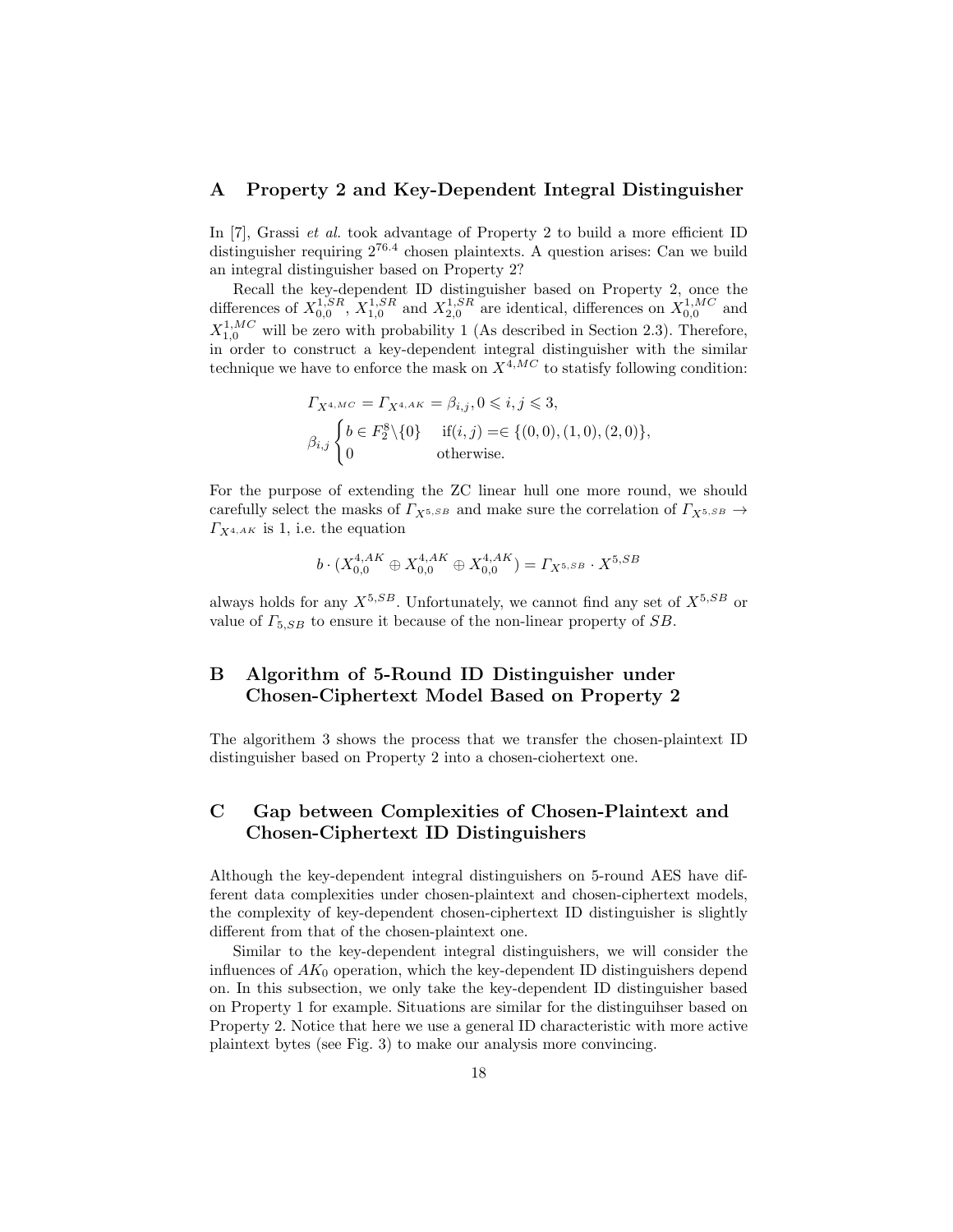### A Property 2 and Key-Dependent Integral Distinguisher

In [7], Grassi *et al.* took advantage of Property 2 to build a more efficient ID distinguisher requiring  $2^{76.4}$  chosen plaintexts. A question arises: Can we build an integral distinguisher based on Property 2?

Recall the key-dependent ID distinguisher based on Property 2, once the differences of  $X_{0,0}^{1,SR}$ ,  $X_{1,0}^{1,SR}$  and  $X_{2,0}^{1,SR}$  are identical, differences on  $X_{0,0}^{1,MC}$  and  $X_{1,0}^{1,MC}$  will be zero with probability 1 (As described in Section 2.3). Therefore, in order to construct a key-dependent integral distinguisher with the similar technique we have to enforce the mask on  $X^{4,MC}$  to statisfy following condition:

$$
\begin{aligned} &\varGamma_{X^{4,MC}}=\varGamma_{X^{4,AK}}=\beta_{i,j},0\leqslant i,j\leqslant 3,\\ &\beta_{i,j}\begin{cases}b\in F^8_2\backslash\{0\}&\text{if}(i,j)=&\in\{(0,0),(1,0),(2,0)\},\\ &\text{otherwise.}\end{cases} \end{aligned}
$$

For the purpose of extending the ZC linear hull one more round, we should carefully select the masks of  $\Gamma_{X^{5,SB}}$  and make sure the correlation of  $\Gamma_{X^{5,SB}} \rightarrow$  $\Gamma_{X^{4,AK}}$  is 1, i.e. the equation

$$
b \cdot (X_{0,0}^{4,AK} \oplus X_{0,0}^{4,AK} \oplus X_{0,0}^{4,AK}) = \varGamma_{X^{5,SB}} \cdot X^{5,SB}
$$

always holds for any  $X^{5,SB}$ . Unfortunately, we cannot find any set of  $X^{5,SB}$  or value of  $\Gamma_{5,SB}$  to ensure it because of the non-linear property of  $SB$ .

# B Algorithm of 5-Round ID Distinguisher under Chosen-Ciphertext Model Based on Property 2

The algorithem 3 shows the process that we transfer the chosen-plaintext ID distinguisher based on Property 2 into a chosen-ciohertext one.

# C Gap between Complexities of Chosen-Plaintext and Chosen-Ciphertext ID Distinguishers

Although the key-dependent integral distinguishers on 5-round AES have different data complexities under chosen-plaintext and chosen-ciphertext models, the complexity of key-dependent chosen-ciphertext ID distinguisher is slightly different from that of the chosen-plaintext one.

Similar to the key-dependent integral distinguishers, we will consider the influences of  $AK_0$  operation, which the key-dependent ID distinguishers depend on. In this subsection, we only take the key-dependent ID distinguisher based on Property 1 for example. Situations are similar for the distinguihser based on Property 2. Notice that here we use a general ID characteristic with more active plaintext bytes (see Fig. 3) to make our analysis more convincing.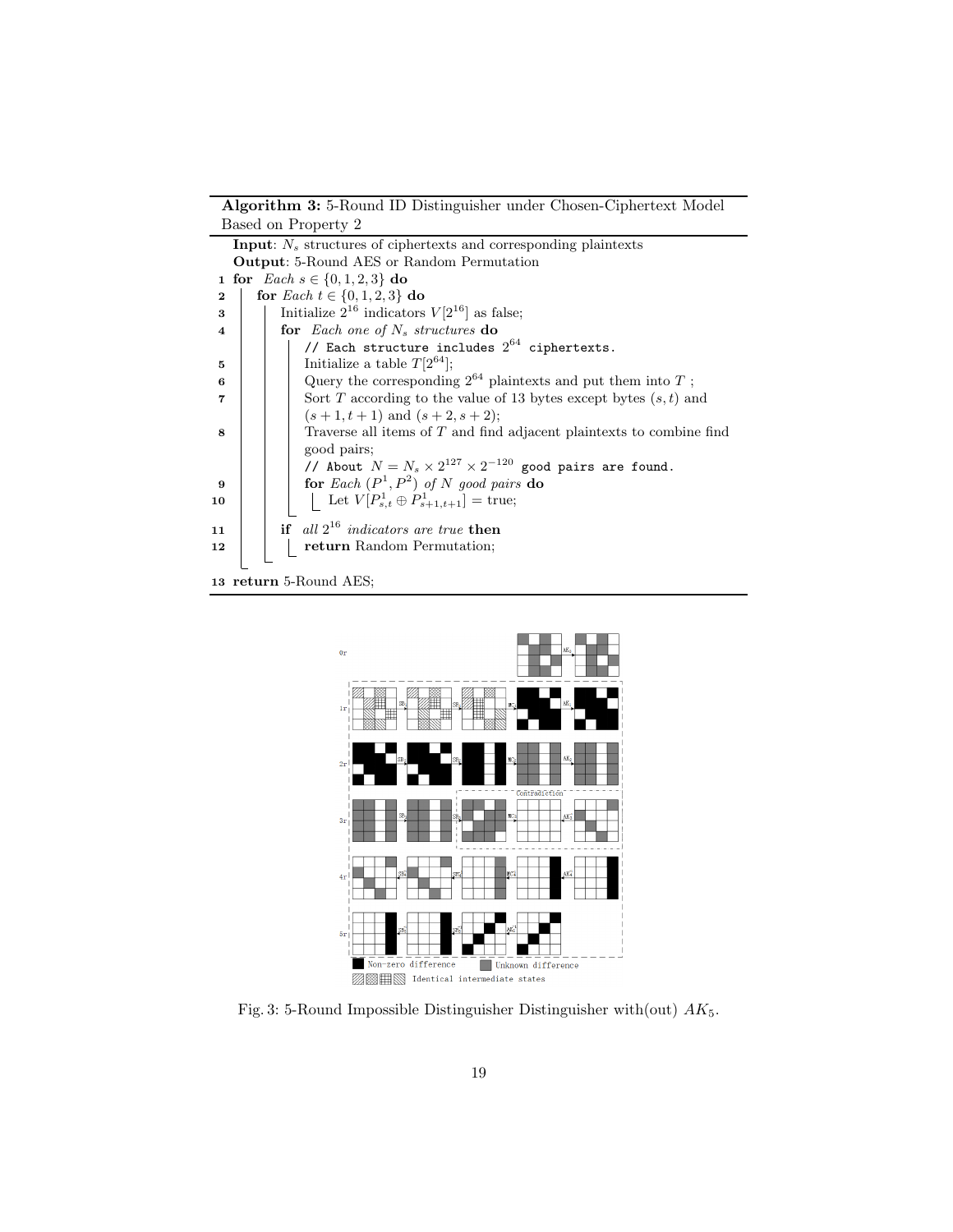Algorithm 3: 5-Round ID Distinguisher under Chosen-Ciphertext Model Based on Property 2

|                        | <b>Input:</b> $N_s$ structures of ciphertexts and corresponding plaintexts |  |  |  |  |  |  |
|------------------------|----------------------------------------------------------------------------|--|--|--|--|--|--|
|                        | <b>Output:</b> 5-Round AES or Random Permutation                           |  |  |  |  |  |  |
|                        | 1 for <i>Each</i> $s \in \{0, 1, 2, 3\}$ do                                |  |  |  |  |  |  |
| $\mathbf 2$            | for <i>Each</i> $t \in \{0, 1, 2, 3\}$ do                                  |  |  |  |  |  |  |
| 3                      | Initialize $2^{16}$ indicators $V[2^{16}]$ as false;                       |  |  |  |  |  |  |
| $\overline{\bf 4}$     | for Each one of $N_s$ structures do                                        |  |  |  |  |  |  |
|                        | // Each structure includes $2^{64}$ ciphertexts.                           |  |  |  |  |  |  |
| 5                      | Initialize a table $T[2^{64}]$ ;                                           |  |  |  |  |  |  |
| 6                      | Query the corresponding $2^{64}$ plaintexts and put them into T;           |  |  |  |  |  |  |
| 7                      | Sort T according to the value of 13 bytes except bytes $(s, t)$ and        |  |  |  |  |  |  |
|                        | $(s+1,t+1)$ and $(s+2,s+2)$ ;                                              |  |  |  |  |  |  |
| 8                      | Traverse all items of $T$ and find adjacent plaintexts to combine find     |  |  |  |  |  |  |
|                        | good pairs;                                                                |  |  |  |  |  |  |
|                        | // About $N = N_s \times 2^{127} \times 2^{-120}$ good pairs are found.    |  |  |  |  |  |  |
| 9                      | for Each $(P^1, P^2)$ of N good pairs do                                   |  |  |  |  |  |  |
| 10                     | Let $V[P_{s,t}^1 \oplus P_{s+1,t+1}^1] = \text{true};$                     |  |  |  |  |  |  |
|                        |                                                                            |  |  |  |  |  |  |
| 11                     | if all $2^{16}$ indicators are true then                                   |  |  |  |  |  |  |
| 12                     | return Random Permutation;                                                 |  |  |  |  |  |  |
|                        |                                                                            |  |  |  |  |  |  |
| 13 return 5-Round AES; |                                                                            |  |  |  |  |  |  |



Fig. 3: 5-Round Impossible Distinguisher Distinguisher with(out)  $AK_5$ .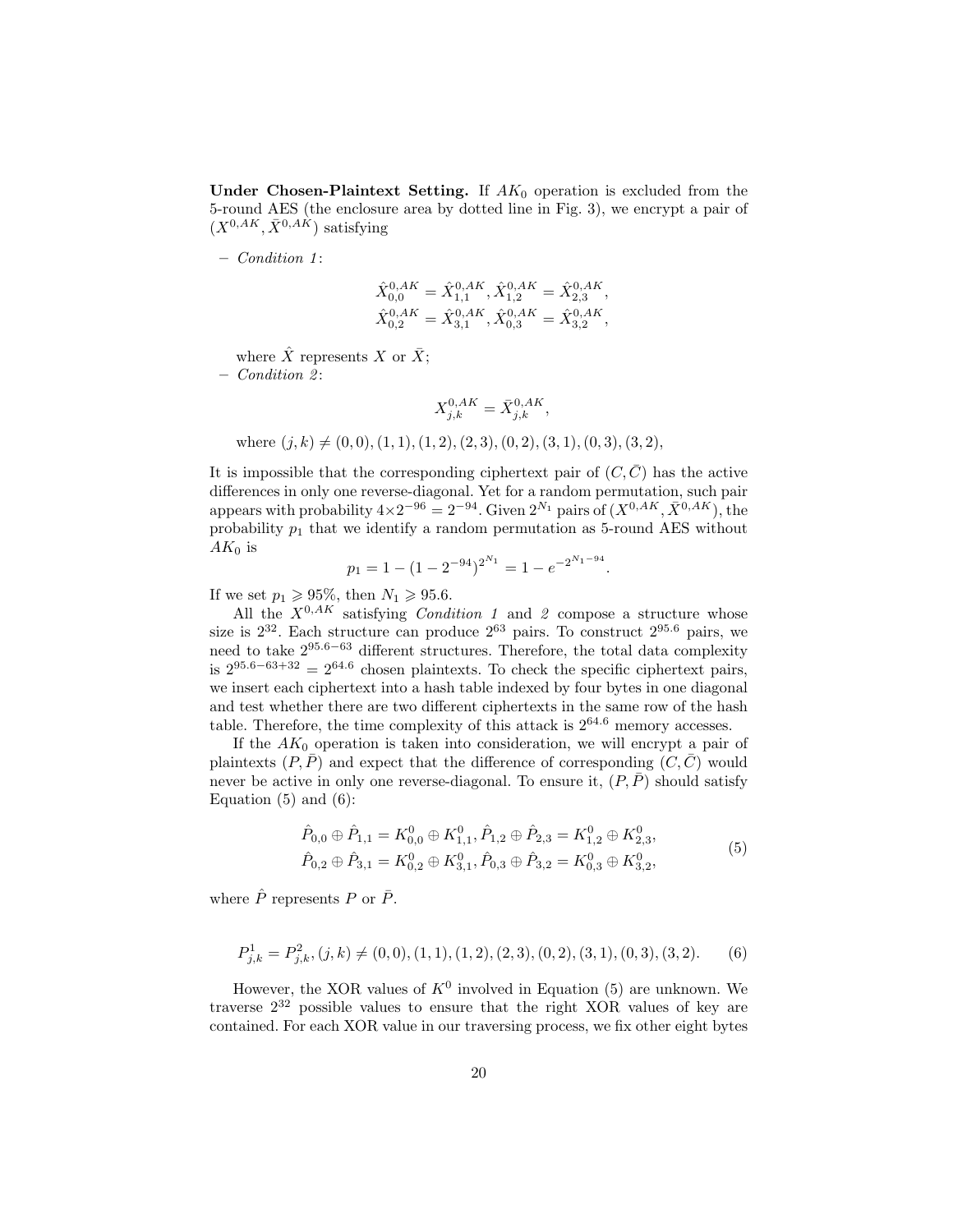Under Chosen-Plaintext Setting. If  $AK_0$  operation is excluded from the 5-round AES (the enclosure area by dotted line in Fig. 3), we encrypt a pair of  $(X^{0,AK}, \overline{X}^{0,AK})$  satisfying

– Condition 1 :

$$
\hat{X}_{0,0}^{0,AK} = \hat{X}_{1,1}^{0,AK}, \hat{X}_{1,2}^{0,AK} = \hat{X}_{2,3}^{0,AK}, \n\hat{X}_{0,2}^{0,AK} = \hat{X}_{3,1}^{0,AK}, \hat{X}_{0,3}^{0,AK} = \hat{X}_{3,2}^{0,AK},
$$

where  $\hat{X}$  represents X or  $\bar{X}$ ;

 $-$  Condition 2:

$$
X_{j,k}^{0,AK} = \bar{X}_{j,k}^{0,AK},
$$

where  $(j, k) \neq (0, 0), (1, 1), (1, 2), (2, 3), (0, 2), (3, 1), (0, 3), (3, 2),$ 

It is impossible that the corresponding ciphertext pair of  $(C, \overline{C})$  has the active differences in only one reverse-diagonal. Yet for a random permutation, such pair appears with probability  $4 \times 2^{-96} = 2^{-94}$ . Given  $2^{N_1}$  pairs of  $(X^{0,AK}, \overline{X}^{0,AK})$ , the probability  $p_1$  that we identify a random permutation as 5-round AES without  $AK_0$  is

$$
p_1 = 1 - (1 - 2^{-94})^{2^{N_1}} = 1 - e^{-2^{N_1 - 94}}.
$$

If we set  $p_1 \geq 95\%$ , then  $N_1 \geq 95.6$ .

All the  $X^{0,AK}$  satisfying *Condition 1* and 2 compose a structure whose size is  $2^{32}$ . Each structure can produce  $2^{63}$  pairs. To construct  $2^{95.6}$  pairs, we need to take  $2^{95.6-63}$  different structures. Therefore, the total data complexity is  $2^{95.6-63+32} = 2^{64.6}$  chosen plaintexts. To check the specific ciphertext pairs, we insert each ciphertext into a hash table indexed by four bytes in one diagonal and test whether there are two different ciphertexts in the same row of the hash table. Therefore, the time complexity of this attack is  $2^{64.6}$  memory accesses.

If the  $AK_0$  operation is taken into consideration, we will encrypt a pair of plaintexts  $(P, \overline{P})$  and expect that the difference of corresponding  $(C, \overline{C})$  would never be active in only one reverse-diagonal. To ensure it,  $(P, \overline{P})$  should satisfy Equation  $(5)$  and  $(6)$ :

$$
\hat{P}_{0,0} \oplus \hat{P}_{1,1} = K_{0,0}^{0} \oplus K_{1,1}^{0}, \hat{P}_{1,2} \oplus \hat{P}_{2,3} = K_{1,2}^{0} \oplus K_{2,3}^{0}, \n\hat{P}_{0,2} \oplus \hat{P}_{3,1} = K_{0,2}^{0} \oplus K_{3,1}^{0}, \hat{P}_{0,3} \oplus \hat{P}_{3,2} = K_{0,3}^{0} \oplus K_{3,2}^{0},
$$
\n(5)

where  $\hat{P}$  represents P or  $\bar{P}$ .

$$
P_{j,k}^1 = P_{j,k}^2, (j,k) \neq (0,0), (1,1), (1,2), (2,3), (0,2), (3,1), (0,3), (3,2). \tag{6}
$$

However, the XOR values of  $K^0$  involved in Equation (5) are unknown. We traverse  $2^{32}$  possible values to ensure that the right XOR values of key are contained. For each XOR value in our traversing process, we fix other eight bytes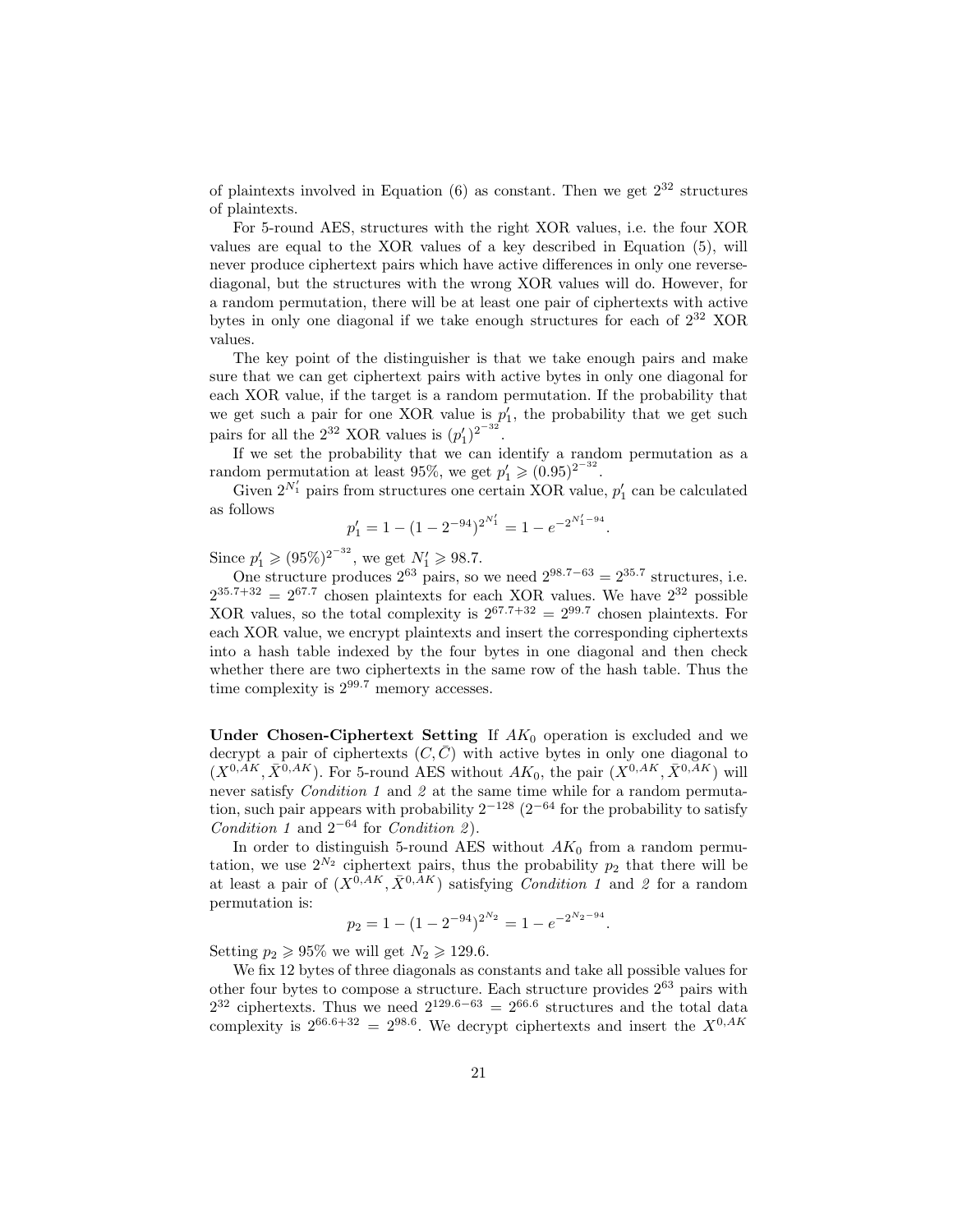of plaintexts involved in Equation  $(6)$  as constant. Then we get  $2^{32}$  structures of plaintexts.

For 5-round AES, structures with the right XOR values, i.e. the four XOR values are equal to the XOR values of a key described in Equation (5), will never produce ciphertext pairs which have active differences in only one reversediagonal, but the structures with the wrong XOR values will do. However, for a random permutation, there will be at least one pair of ciphertexts with active bytes in only one diagonal if we take enough structures for each of  $2^{32}$  XOR values.

The key point of the distinguisher is that we take enough pairs and make sure that we can get ciphertext pairs with active bytes in only one diagonal for each XOR value, if the target is a random permutation. If the probability that we get such a pair for one XOR value is  $p'_1$ , the probability that we get such pairs for all the  $2^{32}$  XOR values is  $(p'_1)^{2^{-32}}$ .

If we set the probability that we can identify a random permutation as a random permutation at least 95%, we get  $p'_1 \geqslant (0.95)^{2^{-32}}$ .

Given  $2^{N'_1}$  pairs from structures one certain XOR value,  $p'_1$  can be calculated as follows

$$
p_1' = 1 - (1 - 2^{-94})^{2^{N_1'}} = 1 - e^{-2^{N_1'-94}}.
$$

Since  $p'_1 \geq (95\%)^{2^{-32}}$ , we get  $N'_1 \geq 98.7$ .

One structure produces  $2^{63}$  pairs, so we need  $2^{98.7-63} = 2^{35.7}$  structures, i.e.  $2^{35.7+32} = 2^{67.7}$  chosen plaintexts for each XOR values. We have  $2^{32}$  possible XOR values, so the total complexity is  $2^{67.7+32} = 2^{99.7}$  chosen plaintexts. For each XOR value, we encrypt plaintexts and insert the corresponding ciphertexts into a hash table indexed by the four bytes in one diagonal and then check whether there are two ciphertexts in the same row of the hash table. Thus the time complexity is  $2^{99.7}$  memory accesses.

Under Chosen-Ciphertext Setting If  $AK_0$  operation is excluded and we decrypt a pair of ciphertexts  $(C, \overline{C})$  with active bytes in only one diagonal to  $(X^{0,\overline{AK}}, \overline{X}^{0,\overline{AK}})$ . For 5-round AES without  $AK_0$ , the pair  $(X^{0,\overline{AK}}, \overline{X}^{0,\overline{AK}})$  will never satisfy *Condition 1* and 2 at the same time while for a random permutation, such pair appears with probability  $2^{-128}$  ( $2^{-64}$  for the probability to satisfy Condition 1 and  $2^{-64}$  for Condition 2.

In order to distinguish 5-round AES without  $AK_0$  from a random permutation, we use  $2^{N_2}$  ciphertext pairs, thus the probability  $p_2$  that there will be at least a pair of  $(X^{0,AK}, \overline{X}^{0,AK})$  satisfying *Condition 1* and 2 for a random permutation is:

$$
p_2 = 1 - (1 - 2^{-94})^{2^{N_2}} = 1 - e^{-2^{N_2 - 94}}.
$$

Setting  $p_2 \geq 95\%$  we will get  $N_2 \geq 129.6$ .

We fix 12 bytes of three diagonals as constants and take all possible values for other four bytes to compose a structure. Each structure provides  $2^{63}$  pairs with  $2^{32}$  ciphertexts. Thus we need  $2^{129.6-63} = 2^{66.6}$  structures and the total data complexity is  $2^{66.6+32} = 2^{98.6}$ . We decrypt ciphertexts and insert the  $X^{0,AK}$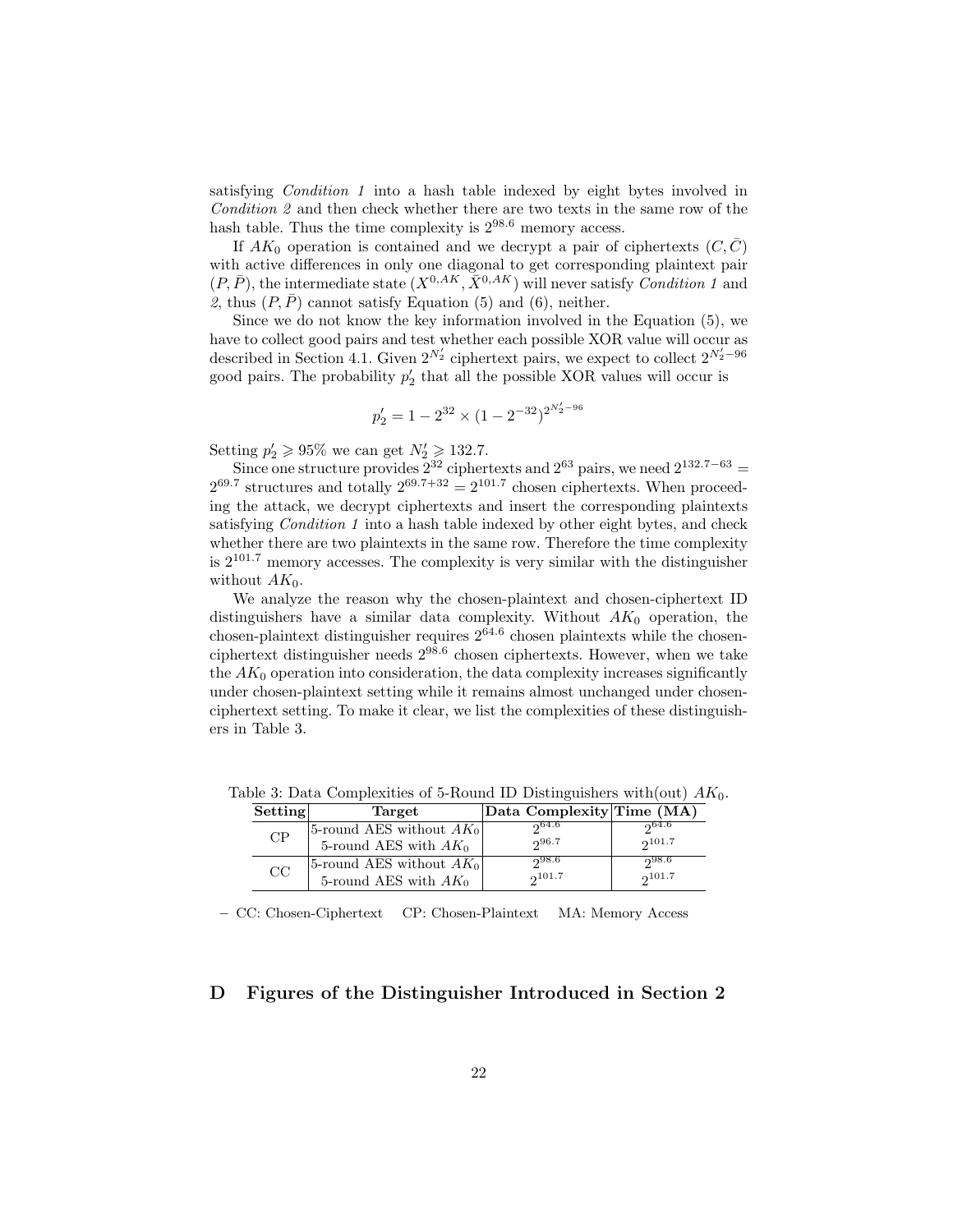satisfying Condition 1 into a hash table indexed by eight bytes involved in Condition 2 and then check whether there are two texts in the same row of the hash table. Thus the time complexity is  $2^{98.6}$  memory access.

If  $AK_0$  operation is contained and we decrypt a pair of ciphertexts  $(C, \overline{C})$ with active differences in only one diagonal to get corresponding plaintext pair  $(P, \overline{P})$ , the intermediate state  $(X^{0, AK}, \overline{X}^{0,AK})$  will never satisfy *Condition 1* and 2, thus  $(P, \overline{P})$  cannot satisfy Equation (5) and (6), neither.

Since we do not know the key information involved in the Equation (5), we have to collect good pairs and test whether each possible XOR value will occur as described in Section 4.1. Given  $2^{N'_2}$  ciphertext pairs, we expect to collect  $2^{N'_2-96}$ good pairs. The probability  $p'_2$  that all the possible XOR values will occur is

$$
p'_2 = 1 - 2^{32} \times (1 - 2^{-32})^{2^{N'_2 - 96}}
$$

Setting  $p'_2 \geq 95\%$  we can get  $N'_2 \geq 132.7$ .

Since one structure provides  $2^{32}$  ciphertexts and  $2^{63}$  pairs, we need  $2^{132.7-63}$  =  $2^{69.7}$  structures and totally  $2^{69.7+32} = 2^{101.7}$  chosen ciphertexts. When proceeding the attack, we decrypt ciphertexts and insert the corresponding plaintexts satisfying Condition 1 into a hash table indexed by other eight bytes, and check whether there are two plaintexts in the same row. Therefore the time complexity is  $2^{101.7}$  memory accesses. The complexity is very similar with the distinguisher without  $AK_0$ .

We analyze the reason why the chosen-plaintext and chosen-ciphertext ID distinguishers have a similar data complexity. Without  $AK_0$  operation, the chosen-plaintext distinguisher requires  $2^{64.6}$  chosen plaintexts while the chosenciphertext distinguisher needs 298.<sup>6</sup> chosen ciphertexts. However, when we take the  $AK_0$  operation into consideration, the data complexity increases significantly under chosen-plaintext setting while it remains almost unchanged under chosenciphertext setting. To make it clear, we list the complexities of these distinguishers in Table 3.

| Setting | Target                     | Data Complexity Time $(\overline{\text{MA}})$ |        |
|---------|----------------------------|-----------------------------------------------|--------|
| CP      | 5-round AES without $AK_0$ | 204.6                                         | 0.64.6 |
|         | 5-round AES with $AK_0$    | 296.7                                         | 2101.7 |
| CC      | 5-round AES without $AK_0$ | 298.6                                         | ი98.6  |
|         | 5-round AES with $AK_0$    | 2101.7                                        | 2101.7 |

Table 3: Data Complexities of 5-Round ID Distinguishers with (out)  $AK_0$ .

– CC: Chosen-Ciphertext CP: Chosen-Plaintext MA: Memory Access

# D Figures of the Distinguisher Introduced in Section 2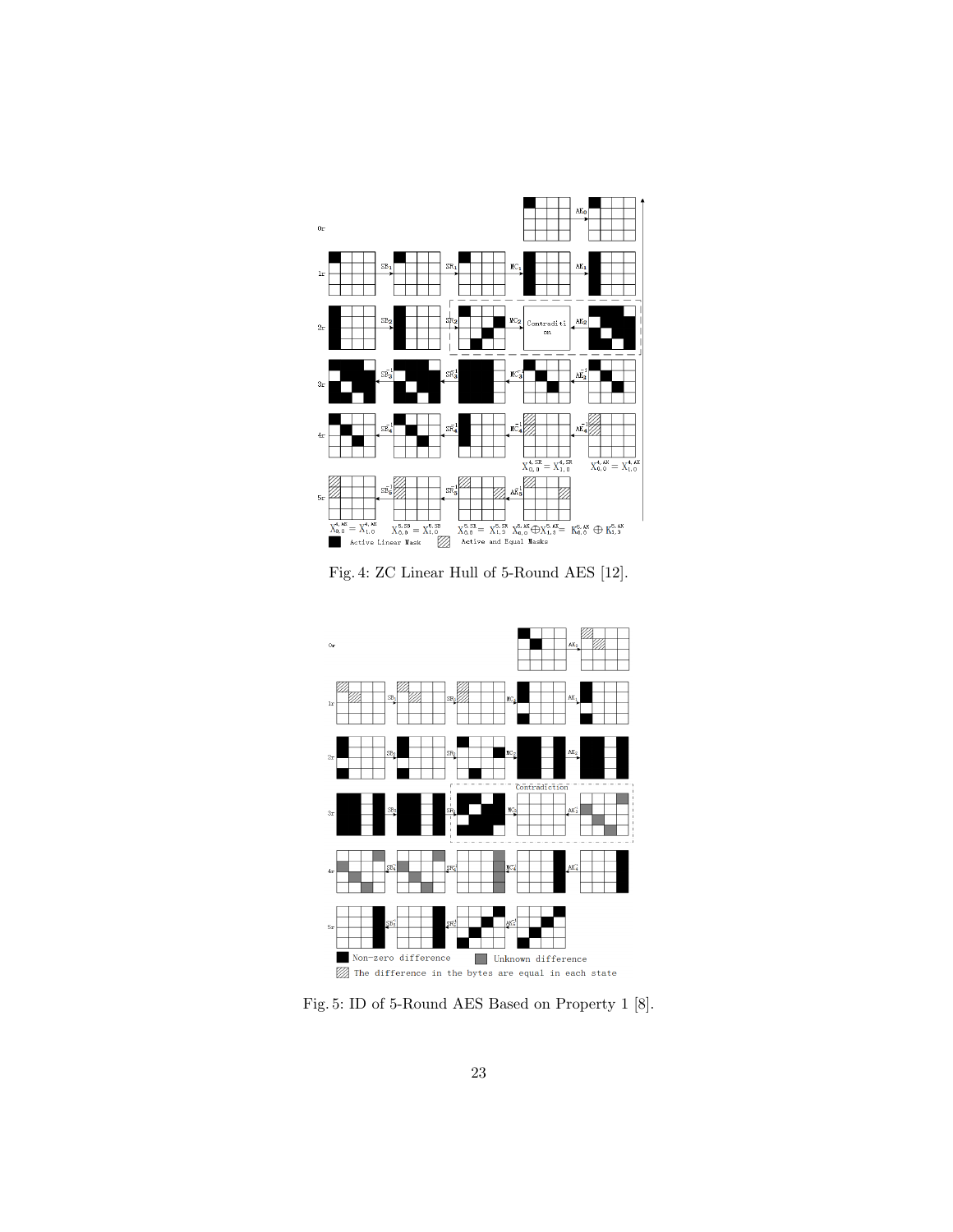

Fig. 4: ZC Linear Hull of 5-Round AES [12].



Fig. 5: ID of 5-Round AES Based on Property 1 [8].